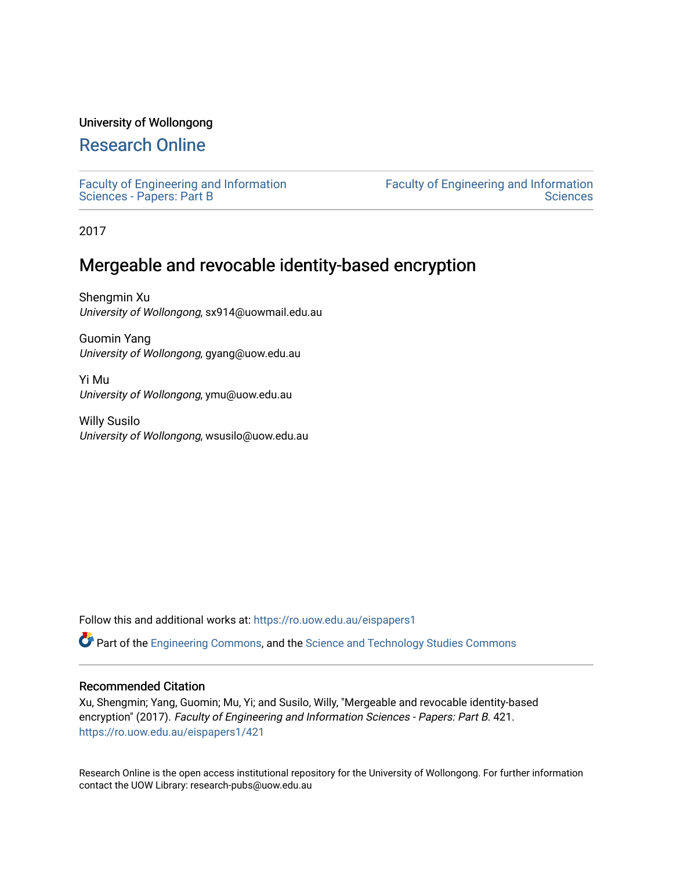# University of Wollongong

# [Research Online](https://ro.uow.edu.au/)

[Faculty of Engineering and Information](https://ro.uow.edu.au/eispapers1)  [Sciences - Papers: Part B](https://ro.uow.edu.au/eispapers1)

[Faculty of Engineering and Information](https://ro.uow.edu.au/eis)  **Sciences** 

2017

# Mergeable and revocable identity-based encryption

Shengmin Xu University of Wollongong, sx914@uowmail.edu.au

Guomin Yang University of Wollongong, gyang@uow.edu.au

Yi Mu University of Wollongong, ymu@uow.edu.au

Willy Susilo University of Wollongong, wsusilo@uow.edu.au

Follow this and additional works at: [https://ro.uow.edu.au/eispapers1](https://ro.uow.edu.au/eispapers1?utm_source=ro.uow.edu.au%2Feispapers1%2F421&utm_medium=PDF&utm_campaign=PDFCoverPages) 

Part of the [Engineering Commons](http://network.bepress.com/hgg/discipline/217?utm_source=ro.uow.edu.au%2Feispapers1%2F421&utm_medium=PDF&utm_campaign=PDFCoverPages), and the [Science and Technology Studies Commons](http://network.bepress.com/hgg/discipline/435?utm_source=ro.uow.edu.au%2Feispapers1%2F421&utm_medium=PDF&utm_campaign=PDFCoverPages)

# Recommended Citation

Xu, Shengmin; Yang, Guomin; Mu, Yi; and Susilo, Willy, "Mergeable and revocable identity-based encryption" (2017). Faculty of Engineering and Information Sciences - Papers: Part B. 421. [https://ro.uow.edu.au/eispapers1/421](https://ro.uow.edu.au/eispapers1/421?utm_source=ro.uow.edu.au%2Feispapers1%2F421&utm_medium=PDF&utm_campaign=PDFCoverPages) 

Research Online is the open access institutional repository for the University of Wollongong. For further information contact the UOW Library: research-pubs@uow.edu.au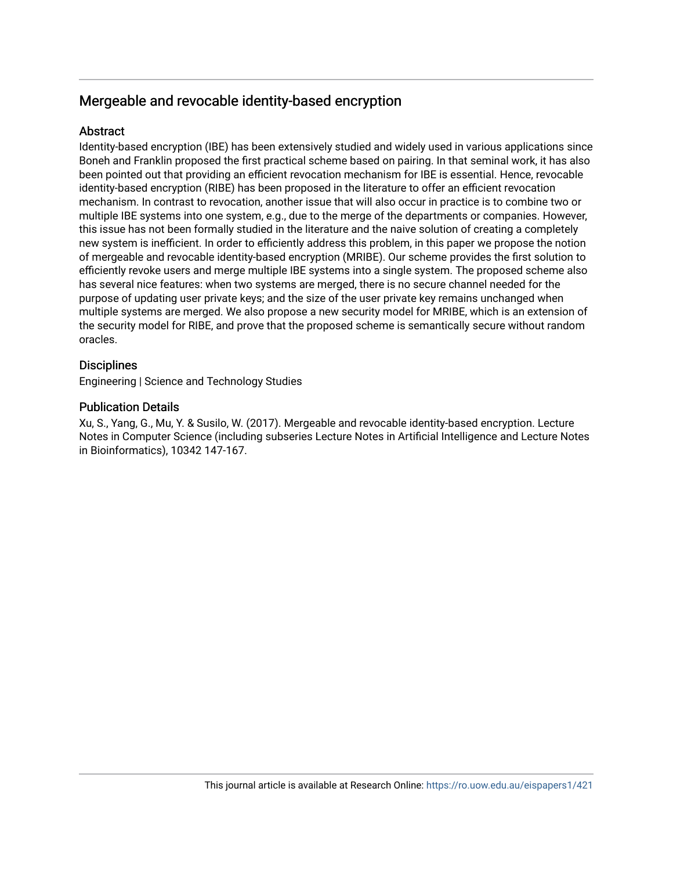# Mergeable and revocable identity-based encryption

# **Abstract**

Identity-based encryption (IBE) has been extensively studied and widely used in various applications since Boneh and Franklin proposed the first practical scheme based on pairing. In that seminal work, it has also been pointed out that providing an efficient revocation mechanism for IBE is essential. Hence, revocable identity-based encryption (RIBE) has been proposed in the literature to offer an efficient revocation mechanism. In contrast to revocation, another issue that will also occur in practice is to combine two or multiple IBE systems into one system, e.g., due to the merge of the departments or companies. However, this issue has not been formally studied in the literature and the naive solution of creating a completely new system is inefficient. In order to efficiently address this problem, in this paper we propose the notion of mergeable and revocable identity-based encryption (MRIBE). Our scheme provides the first solution to efficiently revoke users and merge multiple IBE systems into a single system. The proposed scheme also has several nice features: when two systems are merged, there is no secure channel needed for the purpose of updating user private keys; and the size of the user private key remains unchanged when multiple systems are merged. We also propose a new security model for MRIBE, which is an extension of the security model for RIBE, and prove that the proposed scheme is semantically secure without random oracles.

# **Disciplines**

Engineering | Science and Technology Studies

# Publication Details

Xu, S., Yang, G., Mu, Y. & Susilo, W. (2017). Mergeable and revocable identity-based encryption. Lecture Notes in Computer Science (including subseries Lecture Notes in Artificial Intelligence and Lecture Notes in Bioinformatics), 10342 147-167.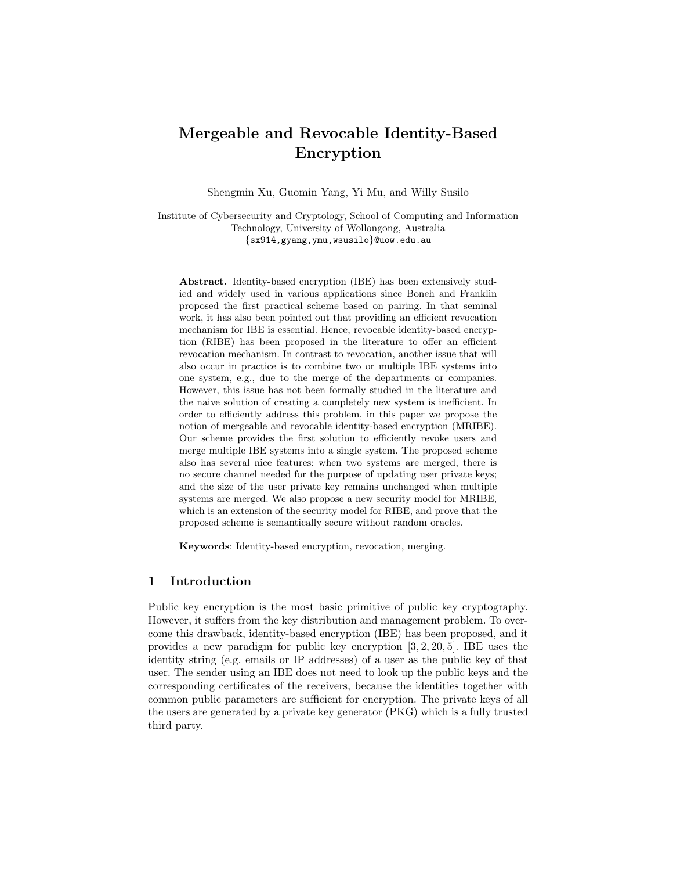# Mergeable and Revocable Identity-Based Encryption

Shengmin Xu, Guomin Yang, Yi Mu, and Willy Susilo

Institute of Cybersecurity and Cryptology, School of Computing and Information Technology, University of Wollongong, Australia {sx914,gyang,ymu,wsusilo}@uow.edu.au

Abstract. Identity-based encryption (IBE) has been extensively studied and widely used in various applications since Boneh and Franklin proposed the first practical scheme based on pairing. In that seminal work, it has also been pointed out that providing an efficient revocation mechanism for IBE is essential. Hence, revocable identity-based encryption (RIBE) has been proposed in the literature to offer an efficient revocation mechanism. In contrast to revocation, another issue that will also occur in practice is to combine two or multiple IBE systems into one system, e.g., due to the merge of the departments or companies. However, this issue has not been formally studied in the literature and the naive solution of creating a completely new system is inefficient. In order to efficiently address this problem, in this paper we propose the notion of mergeable and revocable identity-based encryption (MRIBE). Our scheme provides the first solution to efficiently revoke users and merge multiple IBE systems into a single system. The proposed scheme also has several nice features: when two systems are merged, there is no secure channel needed for the purpose of updating user private keys; and the size of the user private key remains unchanged when multiple systems are merged. We also propose a new security model for MRIBE, which is an extension of the security model for RIBE, and prove that the proposed scheme is semantically secure without random oracles.

Keywords: Identity-based encryption, revocation, merging.

# 1 Introduction

Public key encryption is the most basic primitive of public key cryptography. However, it suffers from the key distribution and management problem. To overcome this drawback, identity-based encryption (IBE) has been proposed, and it provides a new paradigm for public key encryption [3, 2, 20, 5]. IBE uses the identity string (e.g. emails or IP addresses) of a user as the public key of that user. The sender using an IBE does not need to look up the public keys and the corresponding certificates of the receivers, because the identities together with common public parameters are sufficient for encryption. The private keys of all the users are generated by a private key generator (PKG) which is a fully trusted third party.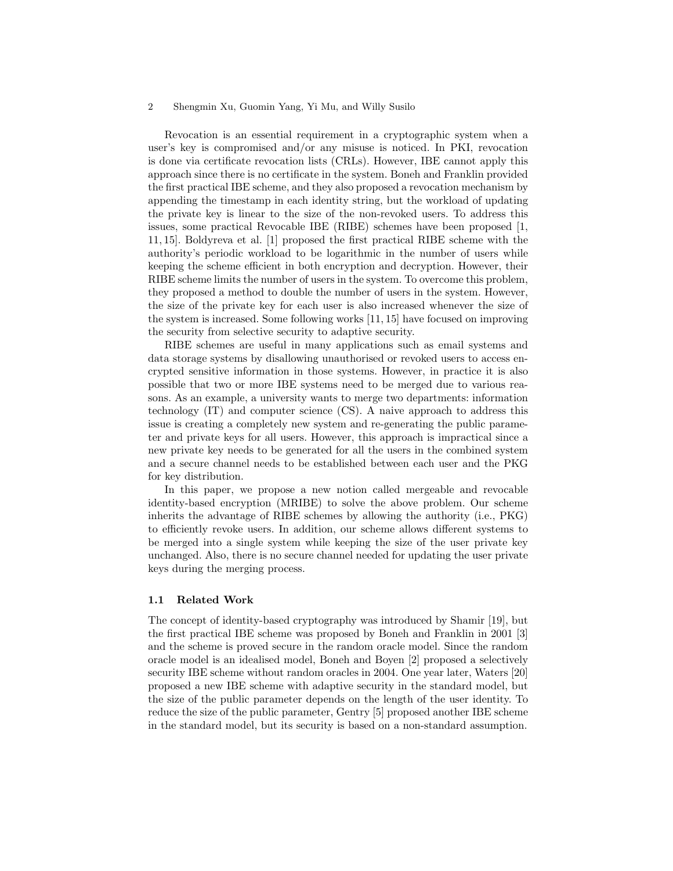Revocation is an essential requirement in a cryptographic system when a user's key is compromised and/or any misuse is noticed. In PKI, revocation is done via certificate revocation lists (CRLs). However, IBE cannot apply this approach since there is no certificate in the system. Boneh and Franklin provided the first practical IBE scheme, and they also proposed a revocation mechanism by appending the timestamp in each identity string, but the workload of updating the private key is linear to the size of the non-revoked users. To address this issues, some practical Revocable IBE (RIBE) schemes have been proposed [1, 11, 15]. Boldyreva et al. [1] proposed the first practical RIBE scheme with the authority's periodic workload to be logarithmic in the number of users while keeping the scheme efficient in both encryption and decryption. However, their RIBE scheme limits the number of users in the system. To overcome this problem, they proposed a method to double the number of users in the system. However, the size of the private key for each user is also increased whenever the size of the system is increased. Some following works [11, 15] have focused on improving the security from selective security to adaptive security.

RIBE schemes are useful in many applications such as email systems and data storage systems by disallowing unauthorised or revoked users to access encrypted sensitive information in those systems. However, in practice it is also possible that two or more IBE systems need to be merged due to various reasons. As an example, a university wants to merge two departments: information technology (IT) and computer science (CS). A naive approach to address this issue is creating a completely new system and re-generating the public parameter and private keys for all users. However, this approach is impractical since a new private key needs to be generated for all the users in the combined system and a secure channel needs to be established between each user and the PKG for key distribution.

In this paper, we propose a new notion called mergeable and revocable identity-based encryption (MRIBE) to solve the above problem. Our scheme inherits the advantage of RIBE schemes by allowing the authority (i.e., PKG) to efficiently revoke users. In addition, our scheme allows different systems to be merged into a single system while keeping the size of the user private key unchanged. Also, there is no secure channel needed for updating the user private keys during the merging process.

#### 1.1 Related Work

The concept of identity-based cryptography was introduced by Shamir [19], but the first practical IBE scheme was proposed by Boneh and Franklin in 2001 [3] and the scheme is proved secure in the random oracle model. Since the random oracle model is an idealised model, Boneh and Boyen [2] proposed a selectively security IBE scheme without random oracles in 2004. One year later, Waters [20] proposed a new IBE scheme with adaptive security in the standard model, but the size of the public parameter depends on the length of the user identity. To reduce the size of the public parameter, Gentry [5] proposed another IBE scheme in the standard model, but its security is based on a non-standard assumption.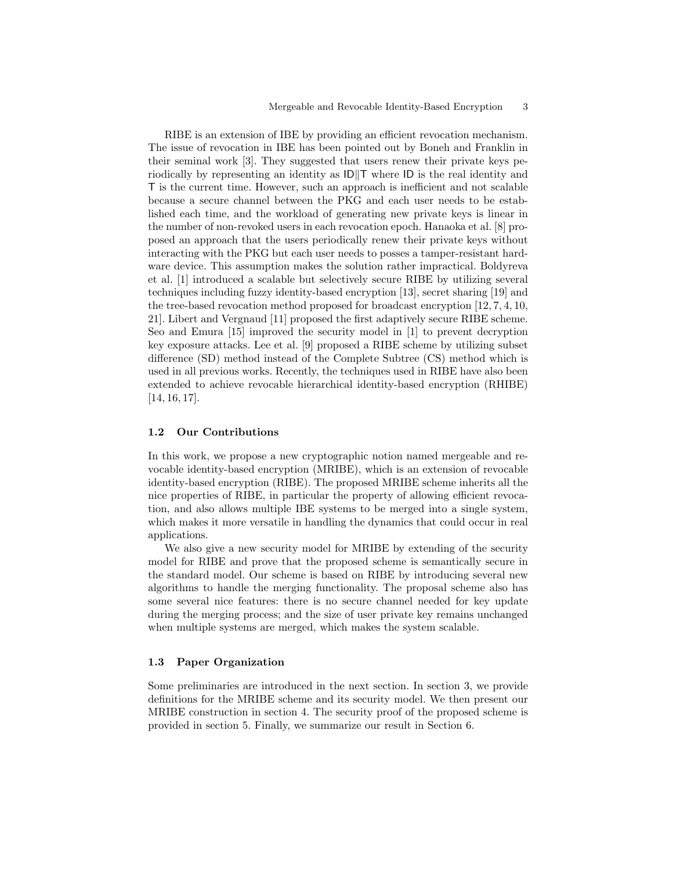RIBE is an extension of IBE by providing an efficient revocation mechanism. The issue of revocation in IBE has been pointed out by Boneh and Franklin in their seminal work [3]. They suggested that users renew their private keys periodically by representing an identity as  $\text{ID} \parallel \text{T}$  where  $\text{ID}$  is the real identity and T is the current time. However, such an approach is inefficient and not scalable because a secure channel between the PKG and each user needs to be established each time, and the workload of generating new private keys is linear in the number of non-revoked users in each revocation epoch. Hanaoka et al. [8] proposed an approach that the users periodically renew their private keys without interacting with the PKG but each user needs to posses a tamper-resistant hardware device. This assumption makes the solution rather impractical. Boldyreva et al. [1] introduced a scalable but selectively secure RIBE by utilizing several techniques including fuzzy identity-based encryption [13], secret sharing [19] and the tree-based revocation method proposed for broadcast encryption [12, 7, 4, 10, 21]. Libert and Vergnaud [11] proposed the first adaptively secure RIBE scheme. Seo and Emura [15] improved the security model in [1] to prevent decryption key exposure attacks. Lee et al. [9] proposed a RIBE scheme by utilizing subset difference (SD) method instead of the Complete Subtree (CS) method which is used in all previous works. Recently, the techniques used in RIBE have also been extended to achieve revocable hierarchical identity-based encryption (RHIBE) [14, 16, 17].

## 1.2 Our Contributions

In this work, we propose a new cryptographic notion named mergeable and revocable identity-based encryption (MRIBE), which is an extension of revocable identity-based encryption (RIBE). The proposed MRIBE scheme inherits all the nice properties of RIBE, in particular the property of allowing efficient revocation, and also allows multiple IBE systems to be merged into a single system, which makes it more versatile in handling the dynamics that could occur in real applications.

We also give a new security model for MRIBE by extending of the security model for RIBE and prove that the proposed scheme is semantically secure in the standard model. Our scheme is based on RIBE by introducing several new algorithms to handle the merging functionality. The proposal scheme also has some several nice features: there is no secure channel needed for key update during the merging process; and the size of user private key remains unchanged when multiple systems are merged, which makes the system scalable.

## 1.3 Paper Organization

Some preliminaries are introduced in the next section. In section 3, we provide definitions for the MRIBE scheme and its security model. We then present our MRIBE construction in section 4. The security proof of the proposed scheme is provided in section 5. Finally, we summarize our result in Section 6.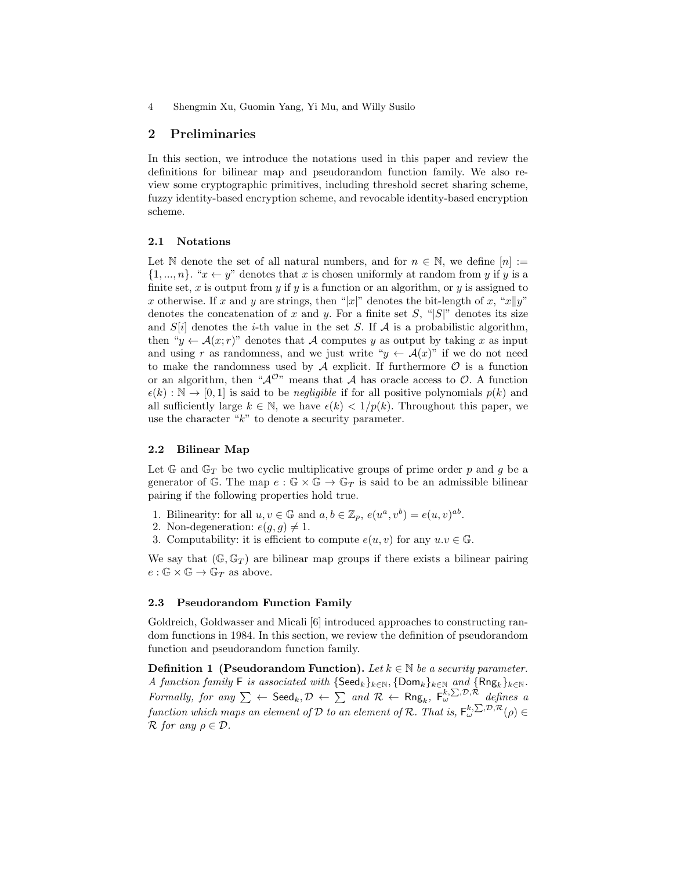## 2 Preliminaries

In this section, we introduce the notations used in this paper and review the definitions for bilinear map and pseudorandom function family. We also review some cryptographic primitives, including threshold secret sharing scheme, fuzzy identity-based encryption scheme, and revocable identity-based encryption scheme.

## 2.1 Notations

Let N denote the set of all natural numbers, and for  $n \in \mathbb{N}$ , we define  $[n] :=$  $\{1, ..., n\}$ . " $x \leftarrow y$ " denotes that x is chosen uniformly at random from y if y is a finite set, x is output from y if y is a function or an algorithm, or y is assigned to x otherwise. If x and y are strings, then "|x|" denotes the bit-length of x, "x||y" denotes the concatenation of x and y. For a finite set S, " $|S|$ " denotes its size and  $S[i]$  denotes the *i*-th value in the set S. If A is a probabilistic algorithm, then " $y \leftarrow \mathcal{A}(x; r)$ " denotes that A computes y as output by taking x as input and using r as randomness, and we just write " $y \leftarrow \mathcal{A}(x)$ " if we do not need to make the randomness used by  $A$  explicit. If furthermore  $O$  is a function or an algorithm, then " $A^{\mathcal{O}n}$  means that A has oracle access to  $\mathcal{O}$ . A function  $\epsilon(k): \mathbb{N} \to [0,1]$  is said to be *negligible* if for all positive polynomials  $p(k)$  and all sufficiently large  $k \in \mathbb{N}$ , we have  $\epsilon(k) < 1/p(k)$ . Throughout this paper, we use the character " $k$ " to denote a security parameter.

#### 2.2 Bilinear Map

Let  $\mathbb{G}$  and  $\mathbb{G}_T$  be two cyclic multiplicative groups of prime order p and g be a generator of G. The map  $e : \mathbb{G} \times \mathbb{G} \to \mathbb{G}_T$  is said to be an admissible bilinear pairing if the following properties hold true.

- 1. Bilinearity: for all  $u, v \in \mathbb{G}$  and  $a, b \in \mathbb{Z}_p$ ,  $e(u^a, v^b) = e(u, v)^{ab}$ .
- 2. Non-degeneration:  $e(g, g) \neq 1$ .
- 3. Computability: it is efficient to compute  $e(u, v)$  for any  $u \cdot v \in \mathbb{G}$ .

We say that  $(\mathbb{G}, \mathbb{G}_T)$  are bilinear map groups if there exists a bilinear pairing  $e:\mathbb{G}\times\mathbb{G}\rightarrow\mathbb{G}_T$  as above.

#### 2.3 Pseudorandom Function Family

Goldreich, Goldwasser and Micali [6] introduced approaches to constructing random functions in 1984. In this section, we review the definition of pseudorandom function and pseudorandom function family.

**Definition 1** (Pseudorandom Function). Let  $k \in \mathbb{N}$  be a security parameter. A function family F is associated with  $\{\mathsf{Seed}_k\}_{k\in\mathbb{N}}, \{\mathsf{Dom}_k\}_{k\in\mathbb{N}}$  and  $\{\mathsf{Rng}_k\}_{k\in\mathbb{N}}$ . Formally, for any  $\Sigma \leftarrow \mathsf{Seed}_k, \mathcal{D} \leftarrow \Sigma$  and  $\mathcal{R} \leftarrow \mathsf{Rng}_k, \; \mathsf{F}_{\omega}^{k, \Sigma, \mathcal{D}, \mathcal{R}}$  defines a function which maps an element of D to an element of R. That is,  $F_\omega^{k,\sum,\mathcal{D},\mathcal{R}}(\rho) \in$  $\mathcal R$  for any  $\rho \in \mathcal D$ .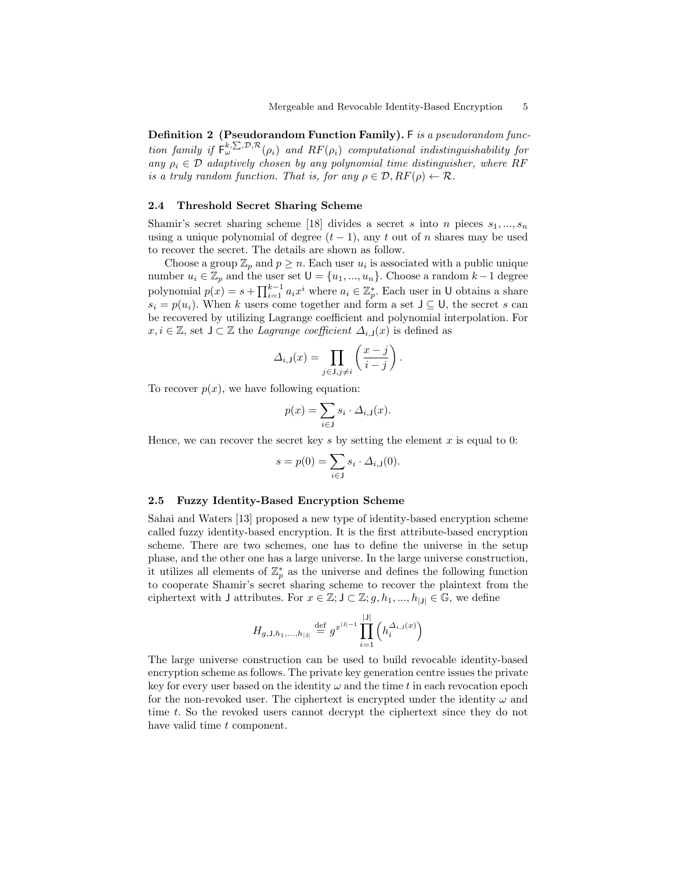Definition 2 (Pseudorandom Function Family). F is a pseudorandom function family if  $F_\omega^{k,\sum,\mathcal{D},\mathcal{R}}(\rho_i)$  and  $RF(\rho_i)$  computational indistinguishability for any  $\rho_i \in \mathcal{D}$  adaptively chosen by any polynomial time distinguisher, where RF is a truly random function. That is, for any  $\rho \in \mathcal{D}, RF(\rho) \leftarrow \mathcal{R}$ .

### 2.4 Threshold Secret Sharing Scheme

Shamir's secret sharing scheme [18] divides a secret s into n pieces  $s_1, ..., s_n$ using a unique polynomial of degree  $(t-1)$ , any t out of n shares may be used to recover the secret. The details are shown as follow.

Choose a group  $\mathbb{Z}_p$  and  $p \geq n$ . Each user  $u_i$  is associated with a public unique number  $u_i \in \mathbb{Z}_p$  and the user set  $\mathsf{U} = \{u_1, ..., u_n\}$ . Choose a random  $k-1$  degree polynomial  $p(x) = s + \prod_{i=1}^{k-1} a_i x^i$  where  $a_i \in \mathbb{Z}_p^*$ . Each user in U obtains a share  $s_i = p(u_i)$ . When k users come together and form a set  $\cup \subseteq \mathsf{U}$ , the secret s can be recovered by utilizing Lagrange coefficient and polynomial interpolation. For  $x, i \in \mathbb{Z}$ , set  $\bigcup \subset \mathbb{Z}$  the *Lagrange coefficient*  $\Delta_{i,\square}(x)$  is defined as

$$
\Delta_{i,\mathsf{J}}(x) = \prod_{j \in \mathsf{J}, j \neq i} \left( \frac{x - j}{i - j} \right).
$$

To recover  $p(x)$ , we have following equation:

$$
p(x) = \sum_{i \in J} s_i \cdot \Delta_{i,J}(x).
$$

Hence, we can recover the secret key s by setting the element  $x$  is equal to 0:

$$
s = p(0) = \sum_{i \in J} s_i \cdot \Delta_{i,J}(0).
$$

#### 2.5 Fuzzy Identity-Based Encryption Scheme

Sahai and Waters [13] proposed a new type of identity-based encryption scheme called fuzzy identity-based encryption. It is the first attribute-based encryption scheme. There are two schemes, one has to define the universe in the setup phase, and the other one has a large universe. In the large universe construction, it utilizes all elements of  $\mathbb{Z}_p^*$  as the universe and defines the following function to cooperate Shamir's secret sharing scheme to recover the plaintext from the ciphertext with J attributes. For  $x \in \mathbb{Z}$ ;  $J \subset \mathbb{Z}$ ;  $g, h_1, ..., h_{|J|} \in \mathbb{G}$ , we define

$$
H_{g,\mathsf{J},h_1,\ldots,h_{|\mathsf{J}|}} \stackrel{\text{def}}{=} g^{x^{|\mathsf{J}|-1}} \prod_{i=1}^{|\mathsf{J}|} \left( h_i^{\Delta_{i,\mathsf{J}}(x)} \right)
$$

The large universe construction can be used to build revocable identity-based encryption scheme as follows. The private key generation centre issues the private key for every user based on the identity  $\omega$  and the time t in each revocation epoch for the non-revoked user. The ciphertext is encrypted under the identity  $\omega$  and time t. So the revoked users cannot decrypt the ciphertext since they do not have valid time t component.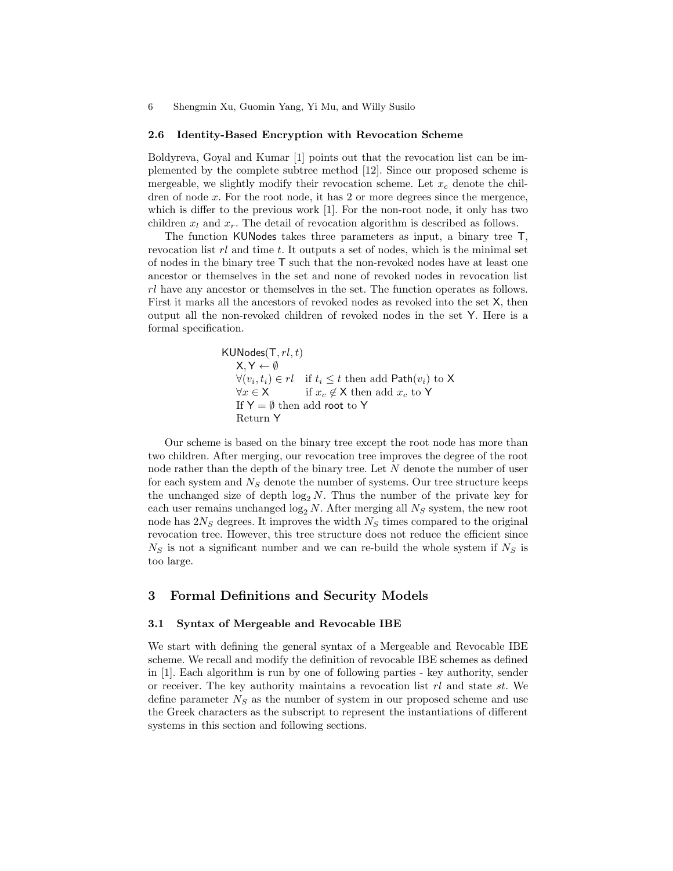#### 2.6 Identity-Based Encryption with Revocation Scheme

Boldyreva, Goyal and Kumar [1] points out that the revocation list can be implemented by the complete subtree method [12]. Since our proposed scheme is mergeable, we slightly modify their revocation scheme. Let  $x_c$  denote the children of node  $x$ . For the root node, it has 2 or more degrees since the mergence, which is differ to the previous work [1]. For the non-root node, it only has two children  $x_l$  and  $x_r$ . The detail of revocation algorithm is described as follows.

The function KUNodes takes three parameters as input, a binary tree T, revocation list  $rl$  and time t. It outputs a set of nodes, which is the minimal set of nodes in the binary tree T such that the non-revoked nodes have at least one ancestor or themselves in the set and none of revoked nodes in revocation list rl have any ancestor or themselves in the set. The function operates as follows. First it marks all the ancestors of revoked nodes as revoked into the set X, then output all the non-revoked children of revoked nodes in the set Y. Here is a formal specification.

> $KUNodes(T, rl, t)$  $X, Y \leftarrow \emptyset$  $\forall (v_i, t_i) \in rl \text{ if } t_i \leq t \text{ then add Path}(v_i) \text{ to X}$  $\forall x \in \mathsf{X}$  if  $x_c \notin \mathsf{X}$  then add  $x_c$  to Y If  $Y = \emptyset$  then add root to Y Return Y

Our scheme is based on the binary tree except the root node has more than two children. After merging, our revocation tree improves the degree of the root node rather than the depth of the binary tree. Let N denote the number of user for each system and  $N<sub>S</sub>$  denote the number of systems. Our tree structure keeps the unchanged size of depth  $log_2 N$ . Thus the number of the private key for each user remains unchanged  $\log_2 N$ . After merging all  $N<sub>S</sub>$  system, the new root node has  $2N<sub>S</sub>$  degrees. It improves the width  $N<sub>S</sub>$  times compared to the original revocation tree. However, this tree structure does not reduce the efficient since  $N<sub>S</sub>$  is not a significant number and we can re-build the whole system if  $N<sub>S</sub>$  is too large.

## 3 Formal Definitions and Security Models

## 3.1 Syntax of Mergeable and Revocable IBE

We start with defining the general syntax of a Mergeable and Revocable IBE scheme. We recall and modify the definition of revocable IBE schemes as defined in [1]. Each algorithm is run by one of following parties - key authority, sender or receiver. The key authority maintains a revocation list  $rl$  and state st. We define parameter  $N<sub>S</sub>$  as the number of system in our proposed scheme and use the Greek characters as the subscript to represent the instantiations of different systems in this section and following sections.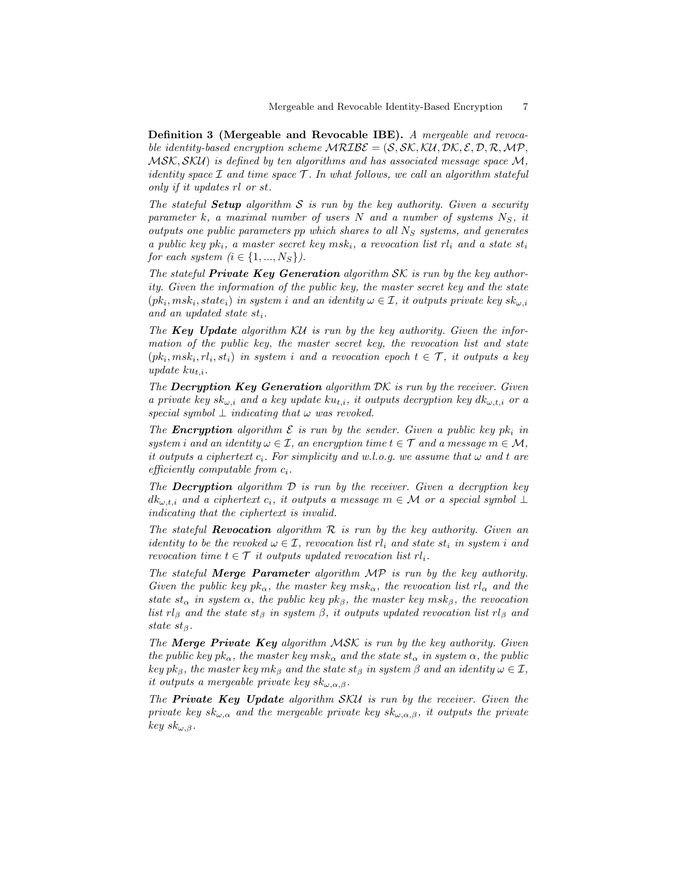Definition 3 (Mergeable and Revocable IBE). A mergeable and revocable identity-based encryption scheme  $MRUSE = (S, SK, KU, DK, \mathcal{E}, \mathcal{D}, \mathcal{R}, \mathcal{MP},$  $MSK, SKU$  is defined by ten algorithms and has associated message space  $M$ , identity space  $\mathcal I$  and time space  $\mathcal T$ . In what follows, we call an algorithm stateful only if it updates rl or st.

The stateful **Setup** algorithm  $S$  is run by the key authority. Given a security parameter k, a maximal number of users N and a number of systems  $N_S$ , it outputs one public parameters pp which shares to all  $N<sub>S</sub>$  systems, and generates a public key pk<sub>i</sub>, a master secret key msk<sub>i</sub>, a revocation list  $rl_i$  and a state st<sub>i</sub> for each system  $(i \in \{1, ..., N_S\})$ .

The stateful **Private Key Generation** algorithm  $\mathcal{SK}$  is run by the key authority. Given the information of the public key, the master secret key and the state  $(pk_i, msk_i, state_i)$  in system i and an identity  $\omega \in \mathcal{I}$ , it outputs private key  $sk_{\omega,i}$ and an updated state  $st_i$ .

The **Key Update** algorithm  $\mathcal{K}U$  is run by the key authority. Given the information of the public key, the master secret key, the revocation list and state  $(pk_i, msk_i, rl_i, st_i)$  in system i and a revocation epoch  $t \in \mathcal{T}$ , it outputs a key update  $ku_{t,i}$ .

The **Decryption Key Generation** algorithm  $DK$  is run by the receiver. Given a private key sk<sub>w,i</sub> and a key update ku<sub>t,i</sub>, it outputs decryption key dk<sub>w,t,i</sub> or a special symbol  $\perp$  indicating that  $\omega$  was revoked.

The **Encryption** algorithm  $\mathcal E$  is run by the sender. Given a public key pk<sub>i</sub> in system i and an identity  $\omega \in \mathcal{I}$ , an encryption time  $t \in \mathcal{T}$  and a message  $m \in \mathcal{M}$ , it outputs a ciphertext  $c_i$ . For simplicity and w.l.o.g. we assume that  $\omega$  and t are efficiently computable from  $c_i$ .

The **Decryption** algorithm  $\mathcal{D}$  is run by the receiver. Given a decryption key  $dk_{\omega,t,i}$  and a ciphertext  $c_i$ , it outputs a message  $m \in \mathcal{M}$  or a special symbol  $\perp$ indicating that the ciphertext is invalid.

The stateful **Revocation** algorithm  $\mathcal R$  is run by the key authority. Given an identity to be the revoked  $\omega \in \mathcal{I}$ , revocation list  $rl_i$  and state  $st_i$  in system i and revocation time  $t \in \mathcal{T}$  it outputs updated revocation list  $rl_i$ .

The stateful Merge Parameter algorithm MP is run by the key authority. Given the public key pk<sub>α</sub>, the master key msk<sub>α</sub>, the revocation list  $rl<sub>α</sub>$  and the state st<sub>α</sub> in system  $\alpha$ , the public key pk<sub>β</sub>, the master key msk<sub>β</sub>, the revocation list rl<sub>β</sub> and the state st<sub>β</sub> in system  $\beta$ , it outputs updated revocation list rl<sub>β</sub> and state st<sub>β</sub>.

The **Merge Private Key** algorithm  $MSK$  is run by the key authority. Given the public key  $pk_{\alpha}$ , the master key  $msk_{\alpha}$  and the state  $st_{\alpha}$  in system  $\alpha$ , the public key pk<sub>β</sub>, the master key mk<sub>β</sub> and the state st<sub>β</sub> in system β and an identity  $\omega \in \mathcal{I}$ , it outputs a mergeable private key  $sk_{\omega,\alpha,\beta}$ .

The **Private Key Update** algorithm  $SKU$  is run by the receiver. Given the private key  $sk_{\omega,\alpha}$  and the mergeable private key  $sk_{\omega,\alpha,\beta}$ , it outputs the private key  $sk_{\omega,\beta}$ .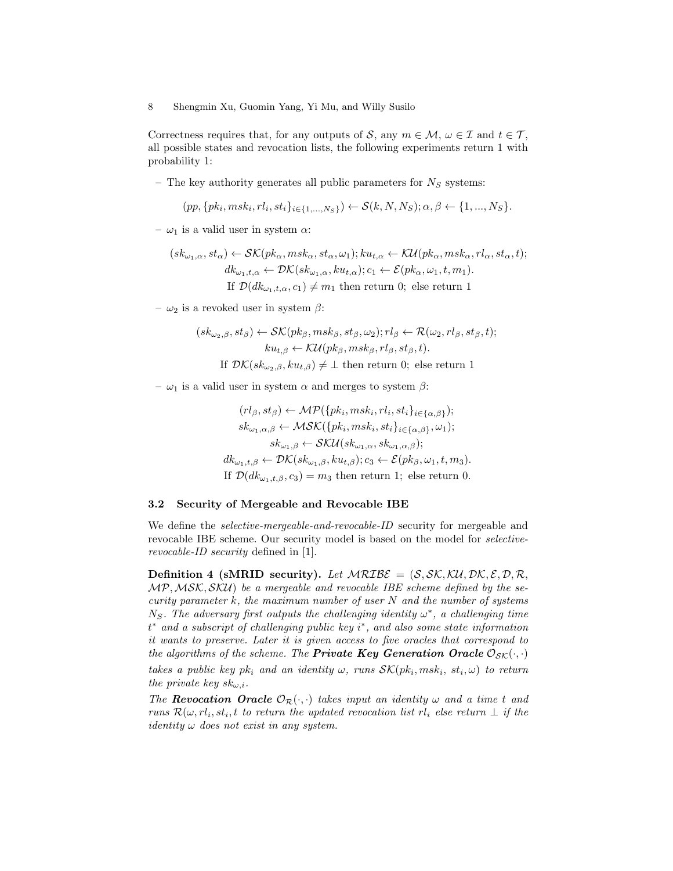Correctness requires that, for any outputs of S, any  $m \in \mathcal{M}$ ,  $\omega \in \mathcal{I}$  and  $t \in \mathcal{T}$ , all possible states and revocation lists, the following experiments return 1 with probability 1:

– The key authority generates all public parameters for  $N<sub>S</sub>$  systems:

$$
(pp, \{pk_i, msk_i, rl_i, st_i\}_{i \in \{1,...,N_S\}}) \leftarrow \mathcal{S}(k, N, N_S); \alpha, \beta \leftarrow \{1,...,N_S\}.
$$

–  $\omega_1$  is a valid user in system  $\alpha$ :

$$
(sk_{\omega_1,\alpha}, st_{\alpha}) \leftarrow \mathcal{SK}(pk_{\alpha}, msk_{\alpha}, st_{\alpha}, \omega_1); ku_{t,\alpha} \leftarrow \mathcal{KU}(pk_{\alpha}, msk_{\alpha}, rl_{\alpha}, st_{\alpha}, t);
$$
  

$$
dk_{\omega_1,t,\alpha} \leftarrow \mathcal{DK}(sk_{\omega_1,\alpha}, ku_{t,\alpha}); c_1 \leftarrow \mathcal{E}(pk_{\alpha}, \omega_1, t, m_1).
$$
  
If  $\mathcal{D}(dk_{\omega_1,t,\alpha}, c_1) \neq m_1$  then return 0; else return 1

–  $\omega_2$  is a revoked user in system  $\beta$ :

$$
(sk_{\omega_2,\beta}, st_{\beta}) \leftarrow \mathcal{SK}(pk_{\beta}, msk_{\beta}, st_{\beta}, \omega_2); rl_{\beta} \leftarrow \mathcal{R}(\omega_2, rl_{\beta}, st_{\beta}, t);
$$
  
\n
$$
ku_{t,\beta} \leftarrow \mathcal{KU}(pk_{\beta}, msk_{\beta}, rl_{\beta}, st_{\beta}, t).
$$
  
\nIf  $\mathcal{DK}(sk_{\omega_2,\beta}, ku_{t,\beta}) \neq \bot$  then return 0; else return 1

–  $ω_1$  is a valid user in system  $α$  and merges to system  $β$ :

$$
(rl_{\beta}, st_{\beta}) \leftarrow \mathcal{MP}(\{pk_i, msk_i, rl_i, st_i\}_{i \in \{\alpha,\beta\}});
$$
  
\n
$$
sk_{\omega_1, \alpha, \beta} \leftarrow \mathcal{MSK}(\{pk_i, msk_i, st_i\}_{i \in \{\alpha,\beta\}}, \omega_1);
$$
  
\n
$$
sk_{\omega_1, \beta} \leftarrow \mathcal{SKU}(sk_{\omega_1, \alpha}, sk_{\omega_1, \alpha, \beta});
$$
  
\n
$$
dk_{\omega_1, t, \beta} \leftarrow \mathcal{DK}(sk_{\omega_1, \beta}, ku_{t, \beta}); c_3 \leftarrow \mathcal{E}(pk_{\beta}, \omega_1, t, m_3).
$$
  
\nIf  $\mathcal{D}(dk_{\omega_1, t, \beta}, c_3) = m_3$  then return 1; else return 0.

#### 3.2 Security of Mergeable and Revocable IBE

We define the *selective-mergeable-and-revocable-ID* security for mergeable and revocable IBE scheme. Our security model is based on the model for selectiverevocable-ID security defined in [1].

Definition 4 (sMRID security). Let  $MRLB\mathcal{E} = (S, SK, K\mathcal{U}, \mathcal{DK}, \mathcal{E}, \mathcal{D}, \mathcal{R},$ MP,MSK, SKU) be a mergeable and revocable IBE scheme defined by the security parameter  $k$ , the maximum number of user  $N$  and the number of systems  $N_S$ . The adversary first outputs the challenging identity  $\omega^*$ , a challenging time t <sup>∗</sup> and a subscript of challenging public key i ∗ , and also some state information it wants to preserve. Later it is given access to five oracles that correspond to the algorithms of the scheme. The **Private Key Generation Oracle**  $\mathcal{O}_{\mathcal{SK}}(\cdot, \cdot)$ 

takes a public key p $k_i$  and an identity  $\omega$ , runs  $\mathcal{SK}(pk_i, msk_i, st_i, \omega)$  to return the private key  $sk_{\omega,i}$ .

The **Revocation Oracle**  $\mathcal{O}_{\mathcal{R}}(\cdot, \cdot)$  takes input an identity  $\omega$  and a time t and runs  $\mathcal{R}(\omega, rl_i, st_i, t$  to return the updated revocation list  $rl_i$  else return  $\perp$  if the *identity*  $\omega$  *does not exist in any system.*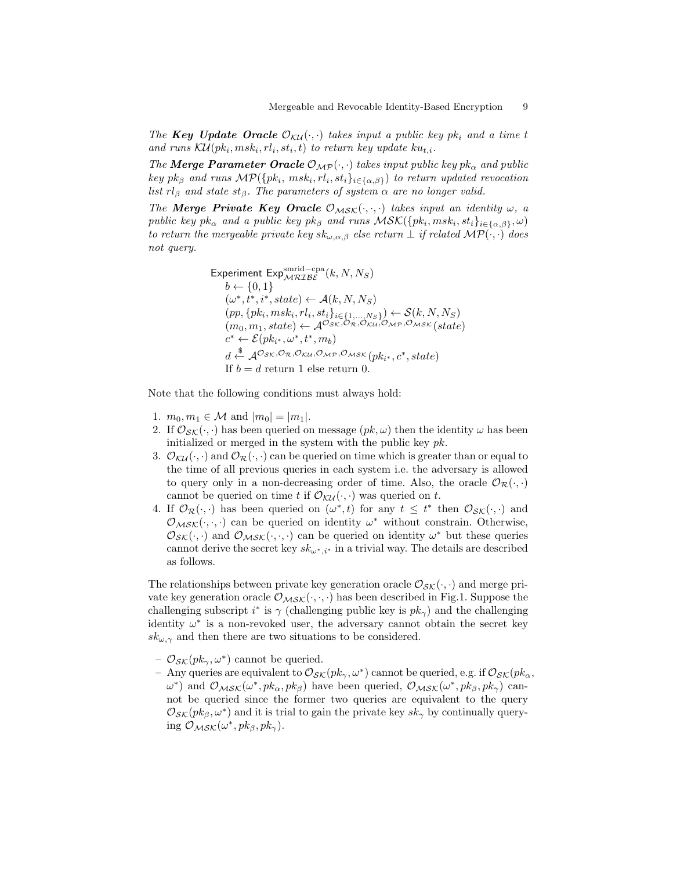The Key Update Oracle  $\mathcal{O}_{\mathcal{K}\mathcal{U}}(\cdot,\cdot)$  takes input a public key pk<sub>i</sub> and a time t and runs  $\mathcal{KU}(pk_i, msk_i, rl_i, st_i, t)$  to return key update  $ku_{t,i}$ .

The **Merge Parameter Oracle**  $\mathcal{O}_{\mathcal{MP}}(\cdot, \cdot)$  takes input public key pk<sub> $\alpha$ </sub> and public key pk<sub>β</sub> and runs  $\mathcal{MP}(\{pk_i, msk_i, rl_i, st_i\}_{i \in \{\alpha,\beta\}})$  to return updated revocation list rl<sub>β</sub> and state st<sub>β</sub>. The parameters of system  $\alpha$  are no longer valid.

The Merge Private Key Oracle  $\mathcal{O}_{MSK}(\cdot,\cdot,\cdot)$  takes input an identity  $\omega$ , a public key pk<sub>α</sub> and a public key pk<sub>β</sub> and runs  $\mathcal{MSK}(\lbrace pk_i, msk_i, st_i \rbrace_{i \in {\lbrace \alpha, \beta \rbrace}}, \omega)$ to return the mergeable private key  $sk_{\omega,\alpha,\beta}$  else return  $\bot$  if related  $\mathcal{MP}(\cdot,\cdot)$  does not query.

Experiment Exp<sup>smrid-cpa</sup>  
\n
$$
b \leftarrow \{0, 1\}
$$
\n
$$
(\omega^*, t^*, i^*, state) \leftarrow \mathcal{A}(k, N, N_S)
$$
\n
$$
(pp, \{pk_i, msk_i, rl_i, st_i\}_{i \in \{1, \ldots, N_S\}}) \leftarrow \mathcal{S}(k, N, N_S)
$$
\n
$$
(m_0, m_1, state) \leftarrow \mathcal{A}^{O_{SK}, O_R, O_{KU}, O_{MP}, O_{MSK}}(state)
$$
\n
$$
c^* \leftarrow \mathcal{E}(pk_{i^*}, \omega^*, t^*, m_b)
$$
\n
$$
d \leftarrow^{\mathcal{S}} \mathcal{A}^{O_{SK}, O_{R}, O_{KU}, O_{MP}, O_{MSK}}(pk_{i^*}, c^*, state)
$$
\nIf  $b = d$  return 1 else return 0.

Note that the following conditions must always hold:

- 1.  $m_0, m_1 \in \mathcal{M}$  and  $|m_0| = |m_1|$ .
- 2. If  $\mathcal{O}_{SK}(\cdot, \cdot)$  has been queried on message  $(pk, \omega)$  then the identity  $\omega$  has been initialized or merged in the system with the public key pk.
- 3.  $\mathcal{O}_{\mathcal{K}U}(\cdot,\cdot)$  and  $\mathcal{O}_{\mathcal{R}}(\cdot,\cdot)$  can be queried on time which is greater than or equal to the time of all previous queries in each system i.e. the adversary is allowed to query only in a non-decreasing order of time. Also, the oracle  $\mathcal{O}_{\mathcal{R}}(\cdot, \cdot)$ cannot be queried on time t if  $\mathcal{O}_{\mathcal{KU}}(\cdot, \cdot)$  was queried on t.
- 4. If  $\mathcal{O}_{\mathcal{R}}(\cdot,\cdot)$  has been queried on  $(\omega^*,t)$  for any  $t \leq t^*$  then  $\mathcal{O}_{\mathcal{SK}}(\cdot,\cdot)$  and  $\mathcal{O}_{\mathcal{MSK}}(\cdot,\cdot,\cdot)$  can be queried on identity  $\omega^*$  without constrain. Otherwise,  $\mathcal{O}_{\mathcal{SK}}(\cdot, \cdot)$  and  $\mathcal{O}_{\mathcal{MSK}}(\cdot, \cdot, \cdot)$  can be queried on identity  $\omega^*$  but these queries cannot derive the secret key  $sk_{\omega^*,i^*}$  in a trivial way. The details are described as follows.

The relationships between private key generation oracle  $\mathcal{O}_{\mathcal{SK}}(\cdot, \cdot)$  and merge private key generation oracle  $\mathcal{O}_{MSK}(\cdot, \cdot, \cdot)$  has been described in Fig.1. Suppose the challenging subscript  $i^*$  is  $\gamma$  (challenging public key is  $pk_{\gamma}$ ) and the challenging identity  $\omega^*$  is a non-revoked user, the adversary cannot obtain the secret key  $sk_{\omega,\gamma}$  and then there are two situations to be considered.

- $\mathcal{O}_{\mathcal{SK}}(pk_{\gamma}, \omega^*)$  cannot be queried.
- Any queries are equivalent to  $\mathcal{O}_{\mathcal{SK}}(pk_{\gamma}, \omega^*)$  cannot be queried, e.g. if  $\mathcal{O}_{\mathcal{SK}}(pk_{\alpha}, \omega^*)$  $\omega^*$ ) and  $\mathcal{O}_{MSK}(\omega^*, p k_\alpha, p k_\beta)$  have been queried,  $\mathcal{O}_{MSK}(\omega^*, p k_\beta, p k_\gamma)$  cannot be queried since the former two queries are equivalent to the query  $\mathcal{O}_{\mathcal{SK}}(pk_{\beta}, \omega^*)$  and it is trial to gain the private key  $sk_{\gamma}$  by continually querying  $\mathcal{O}_{\mathcal{M}\mathcal{S}\mathcal{K}}(\omega^*,pk_\beta, pk_\gamma)$ .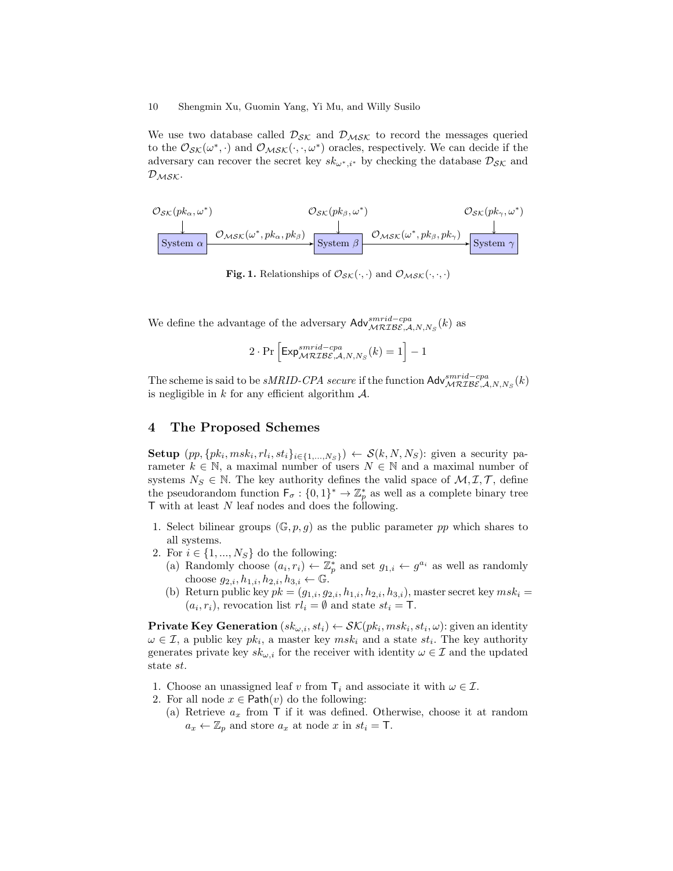We use two database called  $\mathcal{D}_{SK}$  and  $\mathcal{D}_{MSK}$  to record the messages queried to the  $\mathcal{O}_{\mathcal{S}\mathcal{K}}(\omega^*,\cdot)$  and  $\mathcal{O}_{\mathcal{M}\mathcal{S}\mathcal{K}}(\cdot,\cdot,\omega^*)$  oracles, respectively. We can decide if the adversary can recover the secret key  $sk_{\omega^*,i^*}$  by checking the database  $\mathcal{D}_{\mathcal{SK}}$  and  $\mathcal{D}_{\mathcal{M}\mathcal{S}\mathcal{K}}$ .

$$
\frac{\mathcal{O}_{\mathcal{SK}}(pk_{\alpha},\omega^{*})}{\downarrow} \frac{\mathcal{O}_{\mathcal{SK}}(pk_{\alpha},\omega^{*})}{\text{System }\alpha \downarrow} \frac{\mathcal{O}_{\mathcal{SK}}(pk_{\alpha},pk_{\beta})}{\text{System }\beta \downarrow} \frac{\mathcal{O}_{\mathcal{NK}}(\omega^{*},pk_{\beta},pk_{\gamma})}{\text{System }\gamma \downarrow} \frac{\downarrow}{\text{System }\gamma}
$$

Fig. 1. Relationships of  $\mathcal{O}_{\mathcal{SK}}(\cdot, \cdot)$  and  $\mathcal{O}_{\mathcal{MSK}}(\cdot, \cdot, \cdot)$ 

We define the advantage of the adversary  $\mathsf{Adv}^{smrid-cpa}_{\mathcal{MRLBE},\mathcal{A},N,N_S}(k)$  as

$$
2\cdot \Pr\left[\text{Exp}_{\mathcal{MRIBE},\mathcal{A},N,N_S}^{smrid-cpa}(k)=1\right]-1
$$

The scheme is said to be *sMRID-CPA secure* if the function  $\mathsf{Adv}_{\mathcal{MRIBE},\mathcal{A},N,N_S}^{smrid-cpa}(k)$ is negligible in  $k$  for any efficient algorithm  $A$ .

### 4 The Proposed Schemes

Setup  $(pp, \{pk_i, msk_i, rl_i, st_i\}_{i\in\{1,\ldots,N_S\}}) \leftarrow \mathcal{S}(k, N, N_S)$ : given a security parameter  $k \in \mathbb{N}$ , a maximal number of users  $N \in \mathbb{N}$  and a maximal number of systems  $N_S \in \mathbb{N}$ . The key authority defines the valid space of  $\mathcal{M}, \mathcal{I}, \mathcal{T}$ , define the pseudorandom function  $\mathsf{F}_{\sigma} : \{0,1\}^* \to \mathbb{Z}_p^*$  as well as a complete binary tree T with at least N leaf nodes and does the following.

- 1. Select bilinear groups  $(\mathbb{G}, p, q)$  as the public parameter pp which shares to all systems.
- 2. For  $i \in \{1, ..., N_S\}$  do the following:
	- (a) Randomly choose  $(a_i, r_i) \leftarrow \mathbb{Z}_p^*$  and set  $g_{1,i} \leftarrow g^{a_i}$  as well as randomly choose  $g_{2,i}, h_{1,i}, h_{2,i}, h_{3,i} \leftarrow \mathbb{G}$ .
	- (b) Return public key  $pk = (g_{1,i}, g_{2,i}, h_{1,i}, h_{2,i}, h_{3,i})$ , master secret key  $msk_i =$  $(a_i, r_i)$ , revocation list  $rl_i = \emptyset$  and state  $st_i = \mathsf{T}$ .

**Private Key Generation**  $(s k_{\omega,i}, s t_i) \leftarrow \mathcal{SK}(pk_i, m s k_i, s t_i, \omega)$ : given an identity  $\omega \in \mathcal{I}$ , a public key  $pk_i$ , a master key  $msk_i$  and a state  $st_i$ . The key authority generates private key  $sk_{\omega,i}$  for the receiver with identity  $\omega \in \mathcal{I}$  and the updated state st.

- 1. Choose an unassigned leaf v from  $\mathsf{T}_i$  and associate it with  $\omega \in \mathcal{I}$ .
- 2. For all node  $x \in \text{Path}(v)$  do the following:
	- (a) Retrieve  $a_x$  from T if it was defined. Otherwise, choose it at random  $a_x \leftarrow \mathbb{Z}_p$  and store  $a_x$  at node x in  $st_i = \mathsf{T}$ .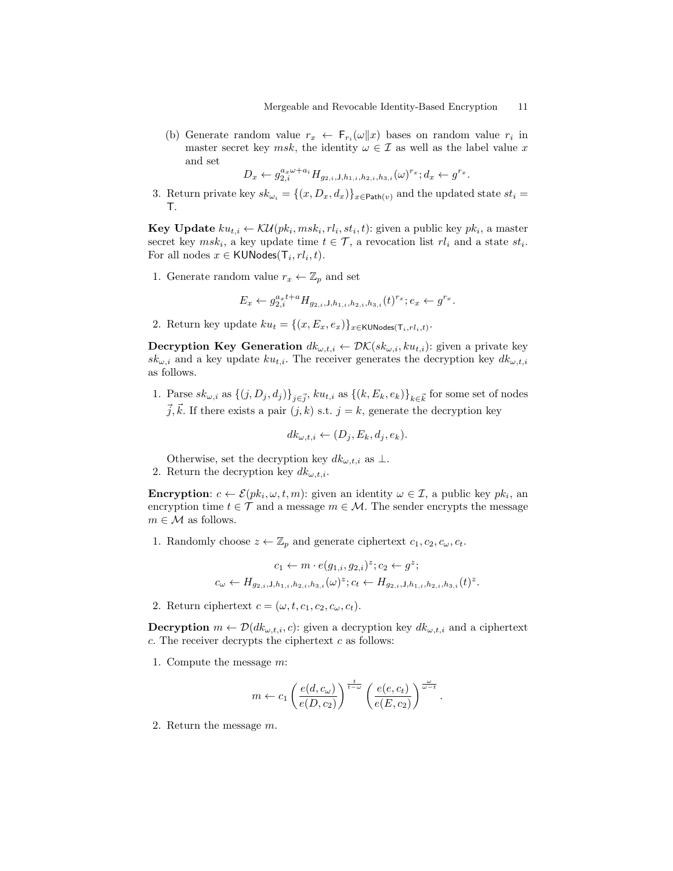(b) Generate random value  $r_x \leftarrow \mathsf{F}_{r_i}(\omega||x)$  bases on random value  $r_i$  in master secret key msk, the identity  $\omega \in \mathcal{I}$  as well as the label value x and set

$$
D_x \leftarrow g_{2,i}^{a_x \omega + a_i} H_{g_{2,i},j,h_{1,i},h_{2,i},h_{3,i}}(\omega)^{r_x}; d_x \leftarrow g^{r_x}.
$$

3. Return private key  $sk_{\omega_i} = \{(x, D_x, d_x)\}_{x \in \text{Path}(v)}$  and the updated state  $st_i =$ T.

**Key Update**  $ku_{t,i} \leftarrow \mathcal{KU}(pk_i, msk_i, rl_i, st_i, t)$ : given a public key  $pk_i$ , a master secret key  $msk_i$ , a key update time  $t \in \mathcal{T}$ , a revocation list  $rl_i$  and a state  $st_i$ . For all nodes  $x \in \text{KUNodes}(\mathsf{T}_i, rl_i,t)$ .

1. Generate random value  $r_x \leftarrow \mathbb{Z}_p$  and set

$$
E_x \leftarrow g_{2,i}^{a_x t + a} H_{g_{2,i},j,h_{1,i},h_{2,i},h_{3,i}}(t)^{r_x}; e_x \leftarrow g^{r_x}.
$$

2. Return key update  $ku_t = \{(x, E_x, e_x)\}_{x \in \text{KUNodes}(\mathsf{T}_i,rl_i,t)}$ .

**Decryption Key Generation**  $dk_{\omega,t,i} \leftarrow \mathcal{DK}(sk_{\omega,i}, ku_{t,i})$ : given a private key  $sk_{\omega,i}$  and a key update  $ku_{t,i}$ . The receiver generates the decryption key  $dk_{\omega,t,i}$ as follows.

1. Parse  $sk_{\omega,i}$  as  $\{(j, D_j, d_j)\}_{j\in\vec{j}}, k u_{t,i}$  as  $\{(k, E_k, e_k)\}_{k\in\vec{k}}$  for some set of nodes  $\vec{j}, \vec{k}$ . If there exists a pair  $(j, k)$  s.t.  $j = k$ , generate the decryption key

$$
dk_{\omega,t,i} \leftarrow (D_j, E_k, d_j, e_k).
$$

Otherwise, set the decryption key  $dk_{\omega,t,i}$  as  $\perp$ . 2. Return the decryption key  $dk_{\omega,t,i}$ .

**Encryption**:  $c \leftarrow \mathcal{E}(pk_i, \omega, t, m)$ : given an identity  $\omega \in \mathcal{I}$ , a public key  $pk_i$ , an encryption time  $t \in \mathcal{T}$  and a message  $m \in \mathcal{M}$ . The sender encrypts the message  $m \in \mathcal{M}$  as follows.

1. Randomly choose  $z \leftarrow \mathbb{Z}_p$  and generate ciphertext  $c_1, c_2, c_\omega, c_t$ .

$$
c_1 \leftarrow m \cdot e(g_{1,i}, g_{2,i})^z; c_2 \leftarrow g^z;
$$
  

$$
c_{\omega} \leftarrow H_{g_{2,i}, J, h_{1,i}, h_{2,i}, h_{3,i}}(\omega)^z; c_t \leftarrow H_{g_{2,i}, J, h_{1,i}, h_{2,i}, h_{3,i}}(t)^z.
$$

2. Return ciphertext  $c = (\omega, t, c_1, c_2, c_\omega, c_t)$ .

**Decryption**  $m \leftarrow \mathcal{D}(dk_{\omega,t,i}, c)$ : given a decryption key  $dk_{\omega,t,i}$  and a ciphertext  $c$ . The receiver decrypts the ciphertext  $c$  as follows:

1. Compute the message m:

$$
m \leftarrow c_1 \left( \frac{e(d, c_{\omega})}{e(D, c_2)} \right)^{\frac{t}{t-\omega}} \left( \frac{e(e, c_t)}{e(E, c_2)} \right)^{\frac{\omega}{\omega - t}}.
$$

2. Return the message m.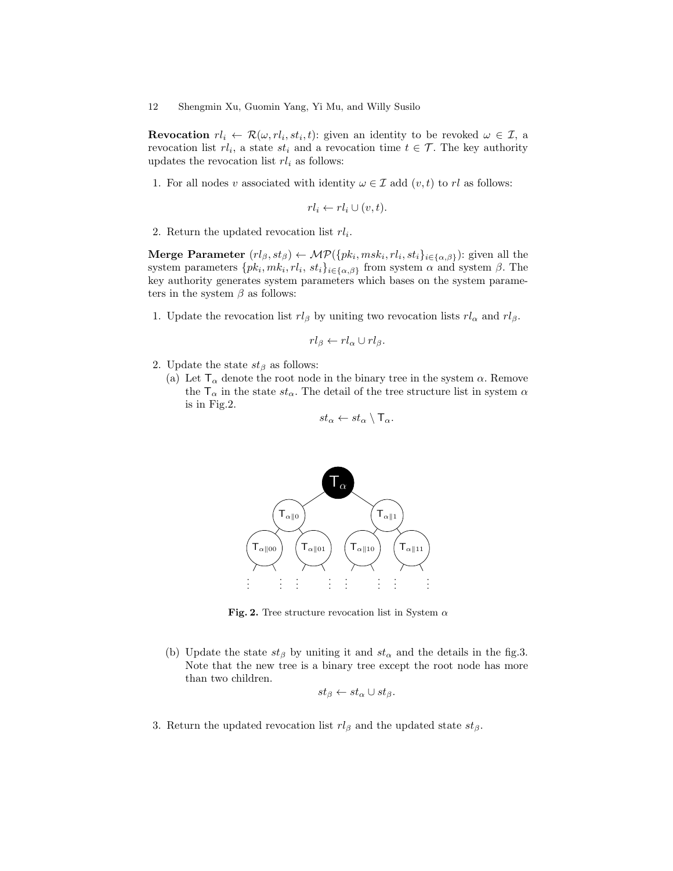**Revocation**  $rl_i \leftarrow \mathcal{R}(\omega, rl_i, st_i, t)$ : given an identity to be revoked  $\omega \in \mathcal{I}$ , a revocation list  $rl_i$ , a state  $st_i$  and a revocation time  $t \in \mathcal{T}$ . The key authority updates the revocation list  $rl_i$  as follows:

1. For all nodes v associated with identity  $\omega \in \mathcal{I}$  add  $(v, t)$  to rl as follows:

$$
rl_i \leftarrow rl_i \cup (v,t).
$$

2. Return the updated revocation list  $rl_i$ .

Merge Parameter  $(rl_\beta, st_\beta) \leftarrow \mathcal{MP}(\{pk_i, msk_i, rl_i, st_i\}_{i \in \{\alpha, \beta\}})$ : given all the system parameters  $\{pk_i, mk_i, rl_i, st_i\}_{i\in\{\alpha,\beta\}}$  from system  $\alpha$  and system  $\beta$ . The key authority generates system parameters which bases on the system parameters in the system  $\beta$  as follows:

1. Update the revocation list  $r l_{\beta}$  by uniting two revocation lists  $r l_{\alpha}$  and  $r l_{\beta}$ .

$$
rl_{\beta} \leftarrow rl_{\alpha} \cup rl_{\beta}.
$$

- 2. Update the state  $st_\beta$  as follows:
	- (a) Let  $\mathsf{T}_{\alpha}$  denote the root node in the binary tree in the system  $\alpha$ . Remove the  $\mathsf{T}_\alpha$  in the state  $st_\alpha$ . The detail of the tree structure list in system  $\alpha$ is in Fig.2.

$$
st_{\alpha} \leftarrow st_{\alpha} \setminus \mathsf{T}_{\alpha}.
$$



Fig. 2. Tree structure revocation list in System  $\alpha$ 

(b) Update the state  $st_\beta$  by uniting it and  $st_\alpha$  and the details in the fig.3. Note that the new tree is a binary tree except the root node has more than two children.

$$
st_{\beta} \leftarrow st_{\alpha} \cup st_{\beta}.
$$

3. Return the updated revocation list  $rl_\beta$  and the updated state  $st_\beta$ .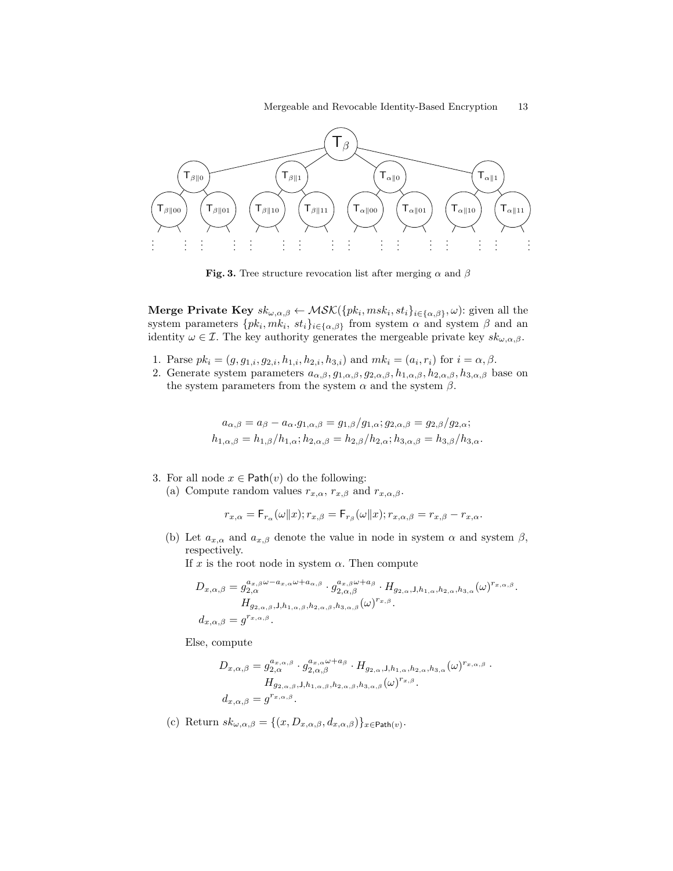

Fig. 3. Tree structure revocation list after merging  $\alpha$  and  $\beta$ 

Merge Private Key  $sk_{\omega,\alpha,\beta}\leftarrow \mathcal{MSK}(\{pk_i, msk_i, st_i\}_{i\in\{\alpha,\beta\}}, \omega)$ : given all the system parameters  $\{pk_i, mk_i, st_i\}_{i \in {\{\alpha, \beta\}}}$  from system  $\alpha$  and system  $\beta$  and an identity  $\omega \in \mathcal{I}$ . The key authority generates the mergeable private key  $sk_{\omega,\alpha,\beta}$ .

- 1. Parse  $pk_i = (g, g_{1,i}, g_{2,i}, h_{1,i}, h_{2,i}, h_{3,i})$  and  $mk_i = (a_i, r_i)$  for  $i = \alpha, \beta$ .
- 2. Generate system parameters  $a_{\alpha,\beta}, g_{1,\alpha,\beta}, g_{2,\alpha,\beta}, h_{1,\alpha,\beta}, h_{2,\alpha,\beta}, h_{3,\alpha,\beta}$  base on the system parameters from the system  $\alpha$  and the system  $\beta$ .

$$
a_{\alpha,\beta} = a_{\beta} - a_{\alpha}.g_{1,\alpha,\beta} = g_{1,\beta}/g_{1,\alpha}; g_{2,\alpha,\beta} = g_{2,\beta}/g_{2,\alpha};
$$
  

$$
h_{1,\alpha,\beta} = h_{1,\beta}/h_{1,\alpha}; h_{2,\alpha,\beta} = h_{2,\beta}/h_{2,\alpha}; h_{3,\alpha,\beta} = h_{3,\beta}/h_{3,\alpha}.
$$

- 3. For all node  $x \in \text{Path}(v)$  do the following:
	- (a) Compute random values  $r_{x,\alpha}$ ,  $r_{x,\beta}$  and  $r_{x,\alpha,\beta}$ .

$$
r_{x,\alpha} = \mathsf{F}_{r_\alpha}(\omega \| x); r_{x,\beta} = \mathsf{F}_{r_\beta}(\omega \| x); r_{x,\alpha,\beta} = r_{x,\beta} - r_{x,\alpha}.
$$

(b) Let  $a_{x,\alpha}$  and  $a_{x,\beta}$  denote the value in node in system  $\alpha$  and system  $\beta$ , respectively.

If x is the root node in system  $\alpha$ . Then compute

$$
D_{x,\alpha,\beta} = g_{2,\alpha}^{a_{x,\beta}\omega - a_{x,\alpha}\omega + a_{\alpha,\beta}} \cdot g_{2,\alpha,\beta}^{a_{x,\beta}\omega + a_{\beta}} \cdot H_{g_{2,\alpha},\mathsf{J},h_{1,\alpha},h_{2,\alpha},h_{3,\alpha}}(\omega)^{r_{x,\alpha,\beta}}.
$$
  
\n
$$
H_{g_{2,\alpha,\beta},\mathsf{J},h_{1,\alpha,\beta},h_{2,\alpha,\beta},h_{3,\alpha,\beta}}(\omega)^{r_{x,\beta}}.
$$
  
\n
$$
d_{x,\alpha,\beta} = g^{r_{x,\alpha,\beta}}.
$$

Else, compute

$$
D_{x,\alpha,\beta} = g_{2,\alpha}^{a_{x,\alpha,\beta}} \cdot g_{2,\alpha,\beta}^{a_{x,\alpha}\omega + a_{\beta}} \cdot H_{g_{2,\alpha},\mathsf{J},h_{1,\alpha},h_{2,\alpha},h_{3,\alpha}}(\omega)^{r_{x,\alpha,\beta}} \cdot H_{g_{2,\alpha,\beta},\mathsf{J},h_{1,\alpha,\beta},h_{2,\alpha,\beta},h_{3,\alpha,\beta}}(\omega)^{r_{x,\beta}}.
$$
  

$$
d_{x,\alpha,\beta} = g^{r_{x,\alpha,\beta}}.
$$

(c) Return  $sk_{\omega,\alpha,\beta} = \{(x, D_{x,\alpha,\beta}, d_{x,\alpha,\beta})\}_{x \in \text{Path}(v)}$ .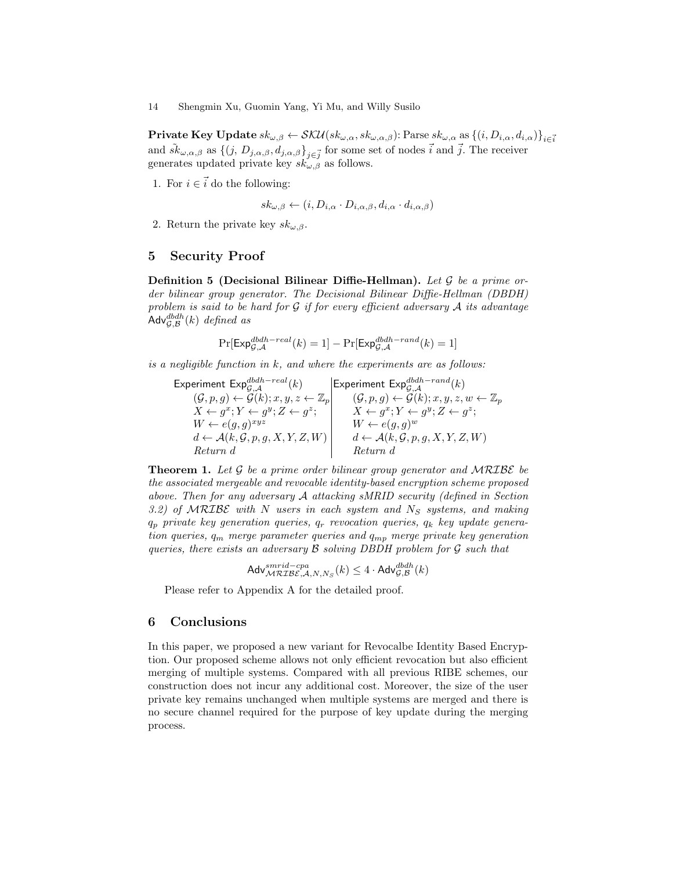**Private Key Update**  $sk_{\omega,\beta} \leftarrow \mathcal{SKU}(sk_{\omega,\alpha}, sk_{\omega,\alpha,\beta})$ : Parse  $sk_{\omega,\alpha}$  as  $\{(i, D_{i,\alpha}, d_{i,\alpha})\}_{i \in \vec{i}}$ and  $\tilde{sk}_{\omega,\alpha,\beta}$  as  $\{(j, D_{j,\alpha,\beta}, d_{j,\alpha,\beta}\}_{j\in\vec{j}}$  for some set of nodes  $\vec{i}$  and  $\vec{j}$ . The receiver generates updated private key  $sk_{\omega,\beta}$  as follows.

1. For  $i \in \vec{i}$  do the following:

$$
sk_{\omega,\beta} \leftarrow (i, D_{i,\alpha} \cdot D_{i,\alpha,\beta}, d_{i,\alpha} \cdot d_{i,\alpha,\beta})
$$

2. Return the private key  $sk_{\omega,\beta}$ .

## 5 Security Proof

**Definition 5** (Decisional Bilinear Diffie-Hellman). Let  $\mathcal G$  be a prime order bilinear group generator. The Decisional Bilinear Diffie-Hellman (DBDH) problem is said to be hard for  $G$  if for every efficient adversary  $A$  its advantage Adv ${}^{dbdh}_{\mathcal{G},\mathcal{B}}(k)$  defined as

$$
\Pr[\mathsf{Exp}^{dbdh-real}_{\mathcal{G},\mathcal{A}}(k) = 1] - \Pr[\mathsf{Exp}^{dbdh-rand}_{\mathcal{G},\mathcal{A}}(k) = 1]
$$

is a negligible function in  $k$ , and where the experiments are as follows:

Experiment Exp ${}^{dbdh-real}_{\mathcal{G},\mathcal{A}}(k)$  | Experiment Exp ${}^{dbdh-rand}_{\mathcal{G},\mathcal{A}}(k)$  $(\mathcal{G}, p, g) \leftarrow \mathcal{G}(k); x, y, z \leftarrow \mathbb{Z}_p \quad (\mathcal{G}, p, g) \leftarrow \mathcal{G}(k); x, y, z, w \leftarrow \mathbb{Z}_p$  $X \leftarrow g^x; Y \leftarrow g^y; Z \leftarrow g^z; \quad X \leftarrow g^x; Y \leftarrow g^y; Z \leftarrow g^z;$  $W \leftarrow e(g, g)^{xyz}$   $W \leftarrow e(g, g)^w$  $d \leftarrow \mathcal{A}(k, \mathcal{G}, p, g, X, Y, Z, W)$   $d \leftarrow \mathcal{A}(k, \mathcal{G}, p, g, X, Y, Z, W)$ Return d Return d

**Theorem 1.** Let  $\mathcal G$  be a prime order bilinear group generator and MRIBE be the associated mergeable and revocable identity-based encryption scheme proposed above. Then for any adversary A attacking sMRID security (defined in Section 3.2) of MRIBE with N users in each system and  $N<sub>S</sub>$  systems, and making  $q_p$  private key generation queries,  $q_r$  revocation queries,  $q_k$  key update generation queries,  $q_m$  merge parameter queries and  $q_{mp}$  merge private key generation queries, there exists an adversary  $\beta$  solving DBDH problem for  $\mathcal G$  such that

$$
\mathsf{Adv}^{smrid-cpa}_{\mathcal{MRLBE},\mathcal{A},N,N_S}(k) \le 4 \cdot \mathsf{Adv}^{dbdh}_{\mathcal{G},\mathcal{B}}(k)
$$

Please refer to Appendix A for the detailed proof.

## 6 Conclusions

In this paper, we proposed a new variant for Revocalbe Identity Based Encryption. Our proposed scheme allows not only efficient revocation but also efficient merging of multiple systems. Compared with all previous RIBE schemes, our construction does not incur any additional cost. Moreover, the size of the user private key remains unchanged when multiple systems are merged and there is no secure channel required for the purpose of key update during the merging process.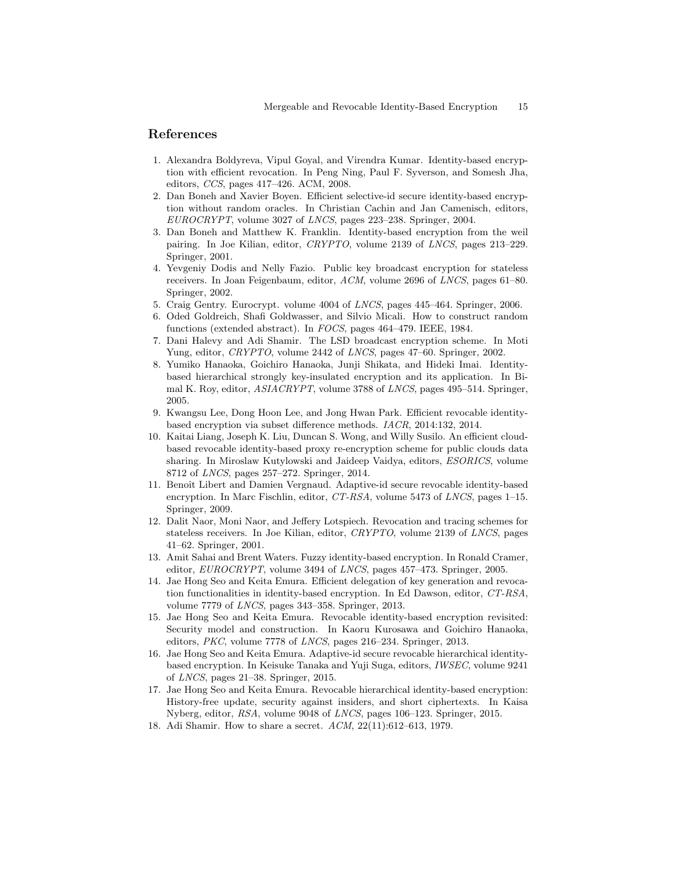## References

- 1. Alexandra Boldyreva, Vipul Goyal, and Virendra Kumar. Identity-based encryption with efficient revocation. In Peng Ning, Paul F. Syverson, and Somesh Jha, editors, CCS, pages 417–426. ACM, 2008.
- 2. Dan Boneh and Xavier Boyen. Efficient selective-id secure identity-based encryption without random oracles. In Christian Cachin and Jan Camenisch, editors, EUROCRYPT, volume 3027 of LNCS, pages 223–238. Springer, 2004.
- 3. Dan Boneh and Matthew K. Franklin. Identity-based encryption from the weil pairing. In Joe Kilian, editor, CRYPTO, volume 2139 of LNCS, pages 213–229. Springer, 2001.
- 4. Yevgeniy Dodis and Nelly Fazio. Public key broadcast encryption for stateless receivers. In Joan Feigenbaum, editor, ACM, volume 2696 of LNCS, pages 61–80. Springer, 2002.
- 5. Craig Gentry. Eurocrypt. volume 4004 of LNCS, pages 445–464. Springer, 2006.
- 6. Oded Goldreich, Shafi Goldwasser, and Silvio Micali. How to construct random functions (extended abstract). In FOCS, pages 464–479. IEEE, 1984.
- 7. Dani Halevy and Adi Shamir. The LSD broadcast encryption scheme. In Moti Yung, editor, CRYPTO, volume 2442 of LNCS, pages 47–60. Springer, 2002.
- 8. Yumiko Hanaoka, Goichiro Hanaoka, Junji Shikata, and Hideki Imai. Identitybased hierarchical strongly key-insulated encryption and its application. In Bimal K. Roy, editor, ASIACRYPT, volume 3788 of LNCS, pages 495–514. Springer, 2005.
- 9. Kwangsu Lee, Dong Hoon Lee, and Jong Hwan Park. Efficient revocable identitybased encryption via subset difference methods. IACR, 2014:132, 2014.
- 10. Kaitai Liang, Joseph K. Liu, Duncan S. Wong, and Willy Susilo. An efficient cloudbased revocable identity-based proxy re-encryption scheme for public clouds data sharing. In Miroslaw Kutylowski and Jaideep Vaidya, editors, ESORICS, volume 8712 of LNCS, pages 257–272. Springer, 2014.
- 11. Benoît Libert and Damien Vergnaud. Adaptive-id secure revocable identity-based encryption. In Marc Fischlin, editor, CT-RSA, volume 5473 of LNCS, pages 1–15. Springer, 2009.
- 12. Dalit Naor, Moni Naor, and Jeffery Lotspiech. Revocation and tracing schemes for stateless receivers. In Joe Kilian, editor, CRYPTO, volume 2139 of LNCS, pages 41–62. Springer, 2001.
- 13. Amit Sahai and Brent Waters. Fuzzy identity-based encryption. In Ronald Cramer, editor, EUROCRYPT, volume 3494 of LNCS, pages 457–473. Springer, 2005.
- 14. Jae Hong Seo and Keita Emura. Efficient delegation of key generation and revocation functionalities in identity-based encryption. In Ed Dawson, editor, CT-RSA, volume 7779 of LNCS, pages 343–358. Springer, 2013.
- 15. Jae Hong Seo and Keita Emura. Revocable identity-based encryption revisited: Security model and construction. In Kaoru Kurosawa and Goichiro Hanaoka, editors, PKC, volume 7778 of LNCS, pages 216–234. Springer, 2013.
- 16. Jae Hong Seo and Keita Emura. Adaptive-id secure revocable hierarchical identitybased encryption. In Keisuke Tanaka and Yuji Suga, editors, IWSEC, volume 9241 of LNCS, pages 21–38. Springer, 2015.
- 17. Jae Hong Seo and Keita Emura. Revocable hierarchical identity-based encryption: History-free update, security against insiders, and short ciphertexts. In Kaisa Nyberg, editor, RSA, volume 9048 of LNCS, pages 106–123. Springer, 2015.
- 18. Adi Shamir. How to share a secret. ACM, 22(11):612–613, 1979.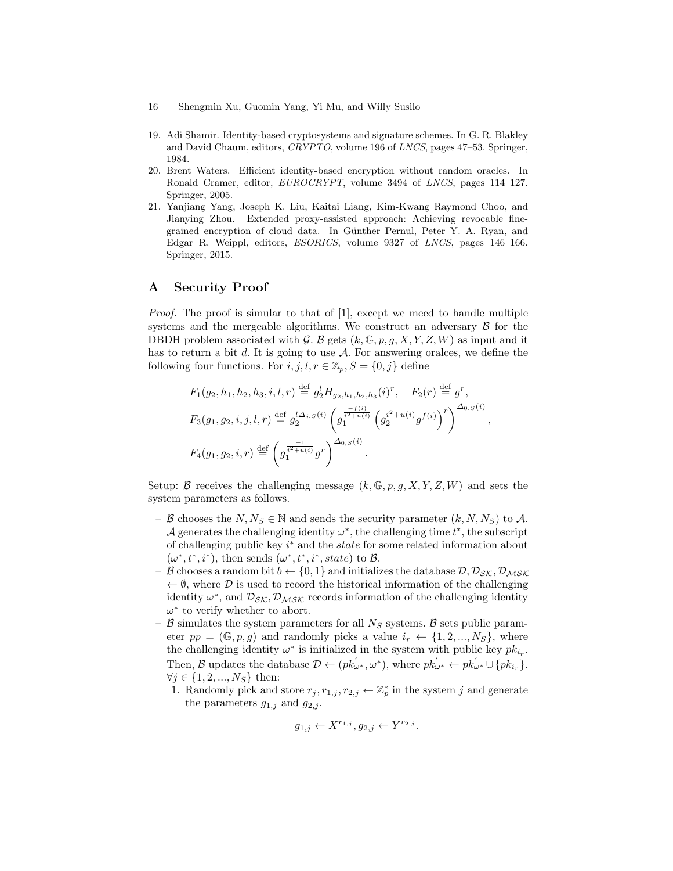- 16 Shengmin Xu, Guomin Yang, Yi Mu, and Willy Susilo
- 19. Adi Shamir. Identity-based cryptosystems and signature schemes. In G. R. Blakley and David Chaum, editors, CRYPTO, volume 196 of LNCS, pages 47–53. Springer, 1984.
- 20. Brent Waters. Efficient identity-based encryption without random oracles. In Ronald Cramer, editor, EUROCRYPT, volume 3494 of LNCS, pages 114–127. Springer, 2005.
- 21. Yanjiang Yang, Joseph K. Liu, Kaitai Liang, Kim-Kwang Raymond Choo, and Jianying Zhou. Extended proxy-assisted approach: Achieving revocable finegrained encryption of cloud data. In Günther Pernul, Peter Y. A. Ryan, and Edgar R. Weippl, editors, ESORICS, volume 9327 of LNCS, pages 146–166. Springer, 2015.

# A Security Proof

Proof. The proof is simular to that of [1], except we meed to handle multiple systems and the mergeable algorithms. We construct an adversary  $\beta$  for the DBDH problem associated with G. B gets  $(k, \mathbb{G}, p, g, X, Y, Z, W)$  as input and it has to return a bit d. It is going to use  $A$ . For answering oralces, we define the following four functions. For  $i, j, l, r \in \mathbb{Z}_p$ ,  $S = \{0, j\}$  define

$$
F_1(g_2, h_1, h_2, h_3, i, l, r) \stackrel{\text{def}}{=} g_2^l H_{g_2, h_1, h_2, h_3}(i)^r, \quad F_2(r) \stackrel{\text{def}}{=} g^r,
$$
  
\n
$$
F_3(g_1, g_2, i, j, l, r) \stackrel{\text{def}}{=} g_2^{l \Delta_{j,S}(i)} \left( g_1^{\frac{-f(i)}{i^2 + u(i)}} \left( g_2^{i^2 + u(i)} g^{f(i)} \right)^r \right)^{\Delta_{0,S}(i)},
$$
  
\n
$$
F_4(g_1, g_2, i, r) \stackrel{\text{def}}{=} \left( g_1^{\frac{-1}{i^2 + u(i)}} g^r \right)^{\Delta_{0,S}(i)}.
$$

Setup: B receives the challenging message  $(k, \mathbb{G}, p, g, X, Y, Z, W)$  and sets the system parameters as follows.

- B chooses the  $N, N_S \in \mathbb{N}$  and sends the security parameter  $(k, N, N_S)$  to A. A generates the challenging identity  $\omega^*$ , the challenging time  $t^*$ , the subscript of challenging public key  $i^*$  and the *state* for some related information about  $(\omega^*, t^*, i^*)$ , then sends  $(\omega^*, t^*, i^*, state)$  to B.
- B chooses a random bit  $b \leftarrow \{0, 1\}$  and initializes the database  $\mathcal{D}, \mathcal{D}_{SK}, \mathcal{D}_{MSK}$  $\leftarrow \emptyset$ , where  $\mathcal D$  is used to record the historical information of the challenging identity  $\omega^*$ , and  $\mathcal{D}_{\mathcal{S}\mathcal{K}}$ ,  $\mathcal{D}_{\mathcal{M}\mathcal{S}\mathcal{K}}$  records information of the challenging identity  $\omega^*$  to verify whether to abort.
- $\beta$  simulates the system parameters for all  $N_S$  systems.  $\beta$  sets public parameter  $pp = (\mathbb{G}, p, g)$  and randomly picks a value  $i_r \leftarrow \{1, 2, ..., N_S\}$ , where the challenging identity  $\omega^*$  is initialized in the system with public key  $pk_{i_r}$ . Then, B updates the database  $\mathcal{D} \leftarrow (p\vec{k_{\omega^*}}, \omega^*)$ , where  $p\vec{k_{\omega^*}} \leftarrow p\vec{k_{\omega^*}} \cup \{pk_{i_r}\}.$  $\forall j \in \{1, 2, ..., N_S\}$  then:
	- 1. Randomly pick and store  $r_j, r_{1,j}, r_{2,j} \leftarrow \mathbb{Z}_p^*$  in the system j and generate the parameters  $g_{1,j}$  and  $g_{2,j}$ .

$$
g_{1,j} \leftarrow X^{r_{1,j}}, g_{2,j} \leftarrow Y^{r_{2,j}}.
$$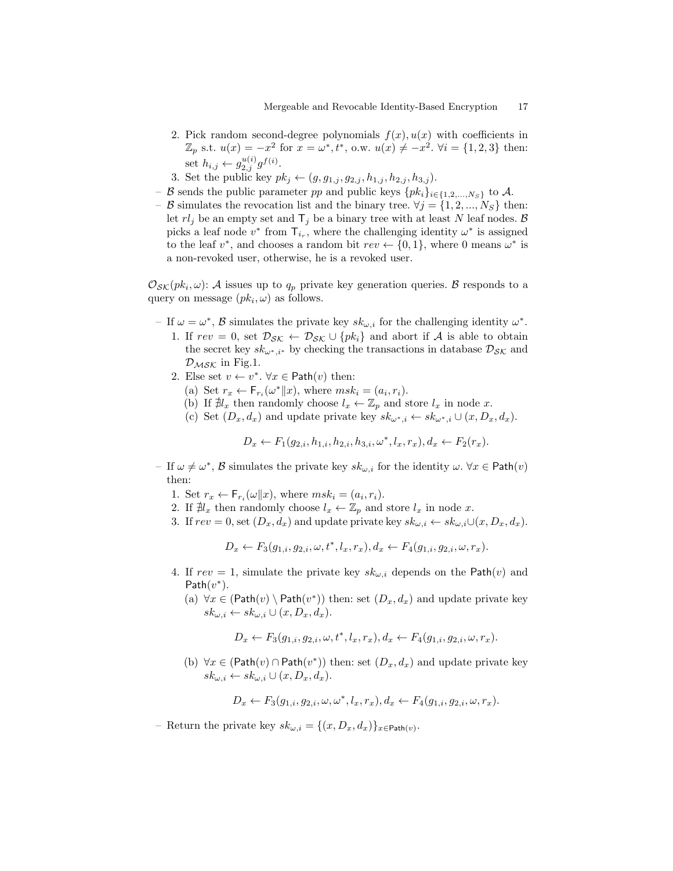- 2. Pick random second-degree polynomials  $f(x)$ ,  $u(x)$  with coefficients in  $\mathbb{Z}_p$  s.t.  $u(x) = -x^2$  for  $x = \omega^*, t^*,$  o.w.  $u(x) \neq -x^2$ .  $\forall i = \{1, 2, 3\}$  then: set  $h_{i,j} \leftarrow g_{2,j}^{u(i)} g^{f(i)}$ .
- 3. Set the public key  $pk_j \leftarrow (g, g_{1,j}, g_{2,j}, h_{1,j}, h_{2,j}, h_{3,j}).$
- B sends the public parameter pp and public keys  $\{pk_i\}_{i\in\{1,2,\ldots,N_S\}}$  to A.
- B simulates the revocation list and the binary tree.  $\forall j = \{1, 2, ..., N_S\}$  then: let  $rl<sub>j</sub>$  be an empty set and  $T<sub>j</sub>$  be a binary tree with at least N leaf nodes. B picks a leaf node  $v^*$  from  $\mathsf{T}_{i_r}$ , where the challenging identity  $\omega^*$  is assigned to the leaf  $v^*$ , and chooses a random bit  $rev \leftarrow \{0, 1\}$ , where 0 means  $\omega^*$  is a non-revoked user, otherwise, he is a revoked user.

 $\mathcal{O}_{\mathcal{SK}}(pk_i,\omega)$ : A issues up to  $q_p$  private key generation queries. B responds to a query on message  $(pk_i, \omega)$  as follows.

- If  $\omega = \omega^*$ , B simulates the private key  $sk_{\omega,i}$  for the challenging identity  $\omega^*$ .
	- 1. If  $rev = 0$ , set  $\mathcal{D}_{\mathcal{SK}} \leftarrow \mathcal{D}_{\mathcal{SK}} \cup \{pk_i\}$  and abort if A is able to obtain the secret key  $sk_{\omega^*,i^*}$  by checking the transactions in database  $\mathcal{D}_{\mathcal{SK}}$  and  $\mathcal{D}_{\mathcal{M} \mathcal{S} \mathcal{K}}$  in Fig.1.
	- 2. Else set  $v \leftarrow v^*$ .  $\forall x \in \text{Path}(v)$  then:
		- (a) Set  $r_x \leftarrow \mathsf{F}_{r_i}(\omega^* || x)$ , where  $msk_i = (a_i, r_i)$ .
		- (b) If  $\exists l_x$  then randomly choose  $l_x \leftarrow \mathbb{Z}_p$  and store  $l_x$  in node x.
		- (c) Set  $(D_x, d_x)$  and update private key  $sk_{\omega^*,i} \leftarrow sk_{\omega^*,i} \cup (x, D_x, d_x)$ .

$$
D_x \leftarrow F_1(g_{2,i}, h_{1,i}, h_{2,i}, h_{3,i}, \omega^*, l_x, r_x), d_x \leftarrow F_2(r_x).
$$

- If  $\omega \neq \omega^*$ , B simulates the private key  $sk_{\omega,i}$  for the identity  $\omega$ .  $\forall x \in \text{Path}(v)$ then:
	- 1. Set  $r_x \leftarrow \mathsf{F}_{r_i}(\omega||x)$ , where  $msk_i = (a_i, r_i)$ .
	- 2. If  $\sharp l_x$  then randomly choose  $l_x \leftarrow \mathbb{Z}_p$  and store  $l_x$  in node x.
	- 3. If  $rev = 0$ , set  $(D_x, d_x)$  and update private key  $sk_{\omega,i} \leftarrow sk_{\omega,i} \cup (x, D_x, d_x)$ .

$$
D_x \leftarrow F_3(g_{1,i}, g_{2,i}, \omega, t^*, l_x, r_x), d_x \leftarrow F_4(g_{1,i}, g_{2,i}, \omega, r_x).
$$

- 4. If  $rev = 1$ , simulate the private key  $sk_{\omega,i}$  depends on the Path(v) and  $Path(v^*)$ .
	- (a)  $\forall x \in (\text{Path}(v) \setminus \text{Path}(v^*))$  then: set  $(D_x, d_x)$  and update private key  $sk_{\omega,i} \leftarrow sk_{\omega,i} \cup (x, D_x, d_x).$

$$
D_x \leftarrow F_3(g_{1,i}, g_{2,i}, \omega, t^*, l_x, r_x), d_x \leftarrow F_4(g_{1,i}, g_{2,i}, \omega, r_x).
$$

(b)  $\forall x \in (\text{Path}(v) \cap \text{Path}(v^*))$  then: set  $(D_x, d_x)$  and update private key  $sk_{\omega,i} \leftarrow sk_{\omega,i} \cup (x, D_x, d_x).$ 

$$
D_x \leftarrow F_3(g_{1,i}, g_{2,i}, \omega, \omega^*, l_x, r_x), d_x \leftarrow F_4(g_{1,i}, g_{2,i}, \omega, r_x).
$$

- Return the private key  $sk_{\omega,i} = \{(x, D_x, d_x)\}_{x \in \text{Path}(v)}$ .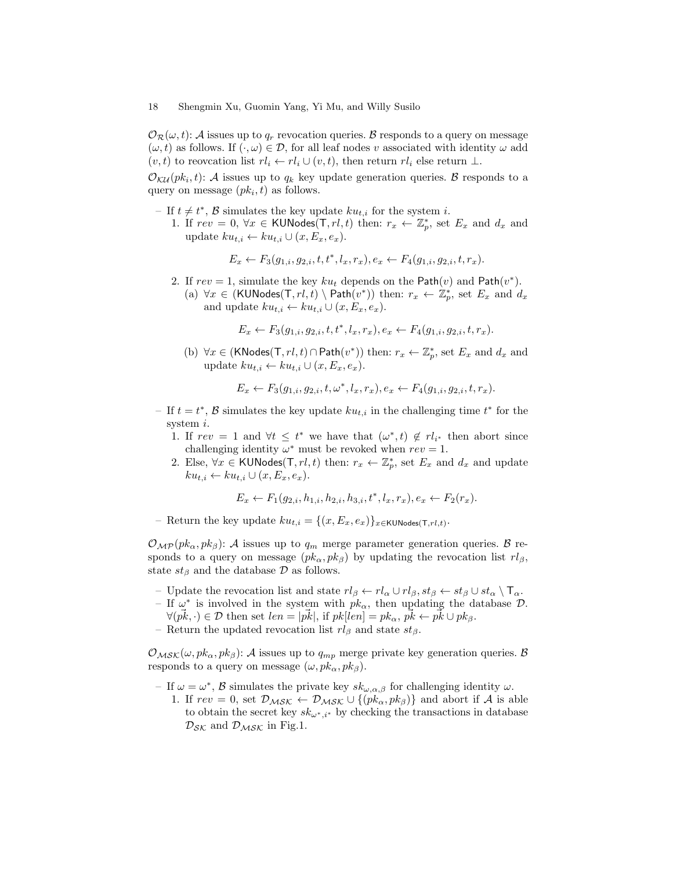$\mathcal{O}_{\mathcal{R}}(\omega, t)$ : A issues up to  $q_r$  revocation queries. B responds to a query on message  $(\omega, t)$  as follows. If  $(\cdot, \omega) \in \mathcal{D}$ , for all leaf nodes v associated with identity  $\omega$  add  $(v, t)$  to reovcation list  $rl_i \leftarrow rl_i \cup (v, t)$ , then return  $rl_i$  else return  $\perp$ .

 $\mathcal{O}_{\mathcal{K}\mathcal{U}}(pk_i,t)$ : A issues up to  $q_k$  key update generation queries. B responds to a query on message  $(pk_i, t)$  as follows.

- − If  $t \neq t^*$ ,  $\beta$  simulates the key update  $ku_{t,i}$  for the system *i*.
	- 1. If  $rev = 0, \forall x \in \text{KUNodes}(\mathsf{T}, rl, t)$  then:  $r_x \leftarrow \mathbb{Z}_p^*$ , set  $E_x$  and  $d_x$  and update  $ku_{t,i} \leftarrow ku_{t,i} \cup (x, E_x, e_x)$ .

$$
E_x \leftarrow F_3(g_{1,i}, g_{2,i}, t, t^*, l_x, r_x), e_x \leftarrow F_4(g_{1,i}, g_{2,i}, t, r_x).
$$

- 2. If  $rev = 1$ , simulate the key  $ku_t$  depends on the Path $(v)$  and Path $(v^*)$ .
	- (a)  $\forall x \in (KUNodes(T, rl, t) \setminus Path(v^*))$  then:  $r_x \leftarrow \mathbb{Z}_p^*$ , set  $E_x$  and  $d_x$ and update  $ku_{t,i} \leftarrow ku_{t,i} \cup (x, E_x, e_x)$ .

$$
E_x \leftarrow F_3(g_{1,i}, g_{2,i}, t, t^*, l_x, r_x), e_x \leftarrow F_4(g_{1,i}, g_{2,i}, t, r_x).
$$

(b)  $\forall x \in (KNodes(T, rl, t) \cap Path(v^*))$  then:  $r_x \leftarrow \mathbb{Z}_p^*$ , set  $E_x$  and  $d_x$  and update  $ku_{t,i} \leftarrow ku_{t,i} \cup (x, E_x, e_x).$ 

$$
E_x \leftarrow F_3(g_{1,i}, g_{2,i}, t, \omega^*, l_x, r_x), e_x \leftarrow F_4(g_{1,i}, g_{2,i}, t, r_x).
$$

- If  $t = t^*$ ,  $\beta$  simulates the key update  $ku_{t,i}$  in the challenging time  $t^*$  for the system i.
	- 1. If  $rev = 1$  and  $\forall t \leq t^*$  we have that  $(\omega^*, t) \notin rl_{i^*}$  then abort since challenging identity  $\omega^*$  must be revoked when  $rev = 1$ .
	- 2. Else,  $\forall x \in \text{KUNodes}(\mathsf{T}, rl, t)$  then:  $r_x \leftarrow \mathbb{Z}_p^*$ , set  $E_x$  and  $d_x$  and update  $ku_{t,i} \leftarrow ku_{t,i} \cup (x, E_x, e_x).$

 $E_x \leftarrow F_1(g_{2,i}, h_{1,i}, h_{2,i}, h_{3,i}, t^*, l_x, r_x), e_x \leftarrow F_2(r_x).$ 

- Return the key update  $ku_{t,i} = \{(x, E_x, e_x)\}_{x \in KUNodes(T,rl,t)}.$ 

 $\mathcal{O}_{\mathcal{MP}}(pk_{\alpha},pk_{\beta})$ : A issues up to  $q_m$  merge parameter generation queries. B responds to a query on message  $(pk_{\alpha}, pk_{\beta})$  by updating the revocation list  $rl_{\beta}$ , state  $st_\beta$  and the database  $\mathcal D$  as follows.

- Update the revocation list and state  $rl_\beta \leftarrow rl_\alpha \cup rl_\beta$ ,  $st_\beta \leftarrow st_\beta \cup st_\alpha \setminus \mathsf{T}_\alpha$ .
- If  $\omega^*$  is involved in the system with  $pk_{\alpha}$ , then updating the database  $\mathcal{D}$ .
- $\forall (\vec{pk}, \cdot) \in \mathcal{D} \text{ then set } len = |\vec{pk}|, \text{ if } pk[len] = pk_\alpha, \vec{pk} \leftarrow \vec{pk} \cup pk_\beta.$
- Return the updated revocation list  $rl_\beta$  and state  $st_\beta$ .

 $\mathcal{O}_{\mathcal{M}\mathcal{S}\mathcal{K}}(\omega, pk_\alpha, pk_\beta)$ : A issues up to  $q_{mp}$  merge private key generation queries. B responds to a query on message  $(\omega, pk_\alpha, pk_\beta)$ .

- If  $\omega = \omega^*$ , B simulates the private key  $sk_{\omega,\alpha,\beta}$  for challenging identity  $\omega$ .
	- 1. If  $rev = 0$ , set  $\mathcal{D}_{\mathcal{M} S \mathcal{K}} \leftarrow \mathcal{D}_{\mathcal{M} S \mathcal{K}} \cup \{(pk_{\alpha}, pk_{\beta})\}$  and abort if A is able to obtain the secret key  $sk_{\omega^*,i^*}$  by checking the transactions in database  $\mathcal{D}_{\mathcal{S}\mathcal{K}}$  and  $\mathcal{D}_{\mathcal{M}\mathcal{S}\mathcal{K}}$  in Fig.1.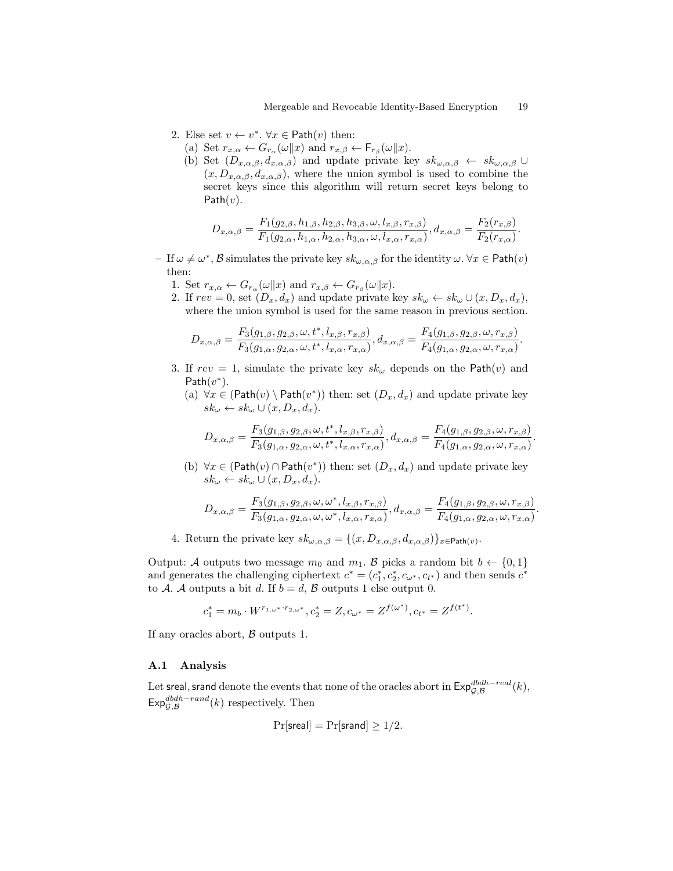- 2. Else set  $v \leftarrow v^*$ .  $\forall x \in \text{Path}(v)$  then:
	- (a) Set  $r_{x,\alpha} \leftarrow G_{r_\alpha}(\omega \| x)$  and  $r_{x,\beta} \leftarrow F_{r_\beta}(\omega \| x)$ .
	- (b) Set  $(D_{x,\alpha,\beta}, d_{x,\alpha,\beta})$  and update private key  $sk_{\omega,\alpha,\beta} \leftarrow sk_{\omega,\alpha,\beta} \cup$  $(x, D_{x,\alpha,\beta}, d_{x,\alpha,\beta})$ , where the union symbol is used to combine the secret keys since this algorithm will return secret keys belong to Path $(v)$ .

$$
D_{x,\alpha,\beta} = \frac{F_1(g_{2,\beta}, h_{1,\beta}, h_{2,\beta}, h_{3,\beta}, \omega, l_{x,\beta}, r_{x,\beta})}{F_1(g_{2,\alpha}, h_{1,\alpha}, h_{2,\alpha}, h_{3,\alpha}, \omega, l_{x,\alpha}, r_{x,\alpha})}, d_{x,\alpha,\beta} = \frac{F_2(r_{x,\beta})}{F_2(r_{x,\alpha})}.
$$

- If  $\omega \neq \omega^*$ , B simulates the private key  $sk_{\omega,\alpha,\beta}$  for the identity  $\omega$ .  $\forall x \in \text{Path}(v)$ then:
	- 1. Set  $r_{x,\alpha} \leftarrow G_{r_\alpha}(\omega \| x)$  and  $r_{x,\beta} \leftarrow G_{r_\beta}(\omega \| x)$ .
	- 2. If  $rev = 0$ , set  $(D_x, d_x)$  and update private key  $sk_\omega \leftarrow sk_\omega \cup (x, D_x, d_x)$ , where the union symbol is used for the same reason in previous section.

$$
D_{x,\alpha,\beta} = \frac{F_3(g_{1,\beta}, g_{2,\beta}, \omega, t^*, l_{x,\beta}, r_{x,\beta})}{F_3(g_{1,\alpha}, g_{2,\alpha}, \omega, t^*, l_{x,\alpha}, r_{x,\alpha})}, d_{x,\alpha,\beta} = \frac{F_4(g_{1,\beta}, g_{2,\beta}, \omega, r_{x,\beta})}{F_4(g_{1,\alpha}, g_{2,\alpha}, \omega, r_{x,\alpha})}.
$$

- 3. If  $rev = 1$ , simulate the private key  $sk_{\omega}$  depends on the Path $(v)$  and  $Path(v^*)$ .
	- (a)  $\forall x \in (\text{Path}(v) \setminus \text{Path}(v^*))$  then: set  $(D_x, d_x)$  and update private key  $sk_{\omega} \leftarrow sk_{\omega} \cup (x, D_x, d_x).$

$$
D_{x,\alpha,\beta} = \frac{F_3(g_{1,\beta}, g_{2,\beta}, \omega, t^*, l_{x,\beta}, r_{x,\beta})}{F_3(g_{1,\alpha}, g_{2,\alpha}, \omega, t^*, l_{x,\alpha}, r_{x,\alpha})}, d_{x,\alpha,\beta} = \frac{F_4(g_{1,\beta}, g_{2,\beta}, \omega, r_{x,\beta})}{F_4(g_{1,\alpha}, g_{2,\alpha}, \omega, r_{x,\alpha})}.
$$

(b)  $\forall x \in (\text{Path}(v) \cap \text{Path}(v^*))$  then: set  $(D_x, d_x)$  and update private key  $sk_{\omega} \leftarrow sk_{\omega} \cup (x, D_x, d_x).$ 

$$
D_{x,\alpha,\beta} = \frac{F_3(g_{1,\beta}, g_{2,\beta}, \omega, \omega^*, l_{x,\beta}, r_{x,\beta})}{F_3(g_{1,\alpha}, g_{2,\alpha}, \omega, \omega^*, l_{x,\alpha}, r_{x,\alpha})}, d_{x,\alpha,\beta} = \frac{F_4(g_{1,\beta}, g_{2,\beta}, \omega, r_{x,\beta})}{F_4(g_{1,\alpha}, g_{2,\alpha}, \omega, r_{x,\alpha})}
$$

.

4. Return the private key  $sk_{\omega,\alpha,\beta} = \{(x, D_{x,\alpha,\beta}, d_{x,\alpha,\beta})\}_{x \in \text{Path}(v)}$ .

Output: A outputs two message  $m_0$  and  $m_1$ . B picks a random bit  $b \leftarrow \{0, 1\}$ and generates the challenging ciphertext  $c^* = (c_1^*, c_2^*, c_{\omega^*}, c_{t^*})$  and then sends  $c^*$ to A. A outputs a bit d. If  $b = d$ , B outputs 1 else output 0.

$$
c_1^* = m_b \cdot W^{r_{1,\omega^*} \cdot r_{2,\omega^*}}, c_2^* = Z, c_{\omega^*} = Z^{f(\omega^*)}, c_{t^*} = Z^{f(t^*)}.
$$

If any oracles abort,  $\beta$  outputs 1.

#### A.1 Analysis

Let sreal, srand denote the events that none of the oracles abort in  $\mathsf{Exp}^{dbdh-real}_{\mathcal{G},\mathcal{B}}(k),$  $\mathsf{Exp}_{\mathcal{G}, \mathcal{B}}^{dbdh-rand}(k)$  respectively. Then

$$
Pr[\mathsf{sreal}] = Pr[\mathsf{srand}] \ge 1/2.
$$